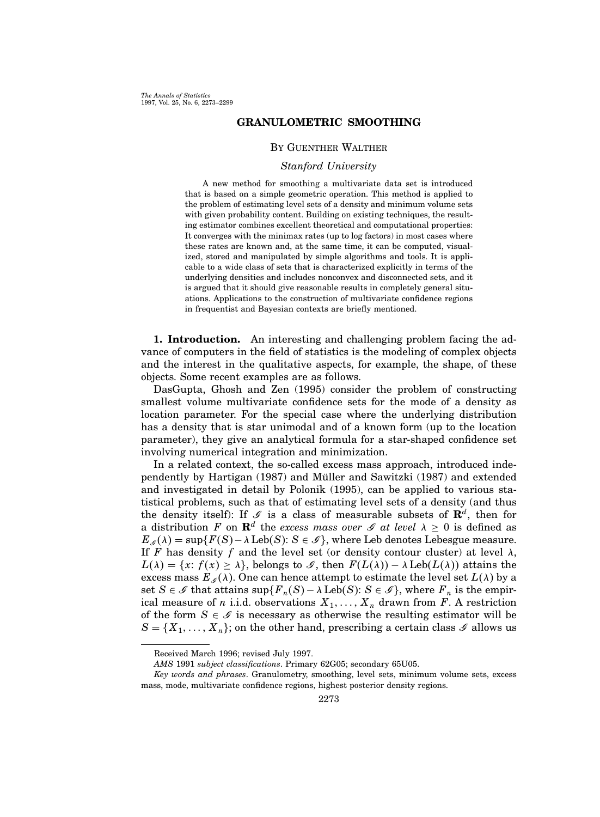## GRANULOMETRIC SMOOTHING

## By Guenther Walther

# Stanford University

A new method for smoothing a multivariate data set is introduced that is based on a simple geometric operation. This method is applied to the problem of estimating level sets of a density and minimum volume sets with given probability content. Building on existing techniques, the resulting estimator combines excellent theoretical and computational properties: It converges with the minimax rates (up to log factors) in most cases where these rates are known and, at the same time, it can be computed, visualized, stored and manipulated by simple algorithms and tools. It is applicable to a wide class of sets that is characterized explicitly in terms of the underlying densities and includes nonconvex and disconnected sets, and it is argued that it should give reasonable results in completely general situations. Applications to the construction of multivariate confidence regions in frequentist and Bayesian contexts are briefly mentioned.

1. Introduction. An interesting and challenging problem facing the advance of computers in the field of statistics is the modeling of complex objects and the interest in the qualitative aspects, for example, the shape, of these objects. Some recent examples are as follows.

DasGupta, Ghosh and Zen (1995) consider the problem of constructing smallest volume multivariate confidence sets for the mode of a density as location parameter. For the special case where the underlying distribution has a density that is star unimodal and of a known form (up to the location parameter), they give an analytical formula for a star-shaped confidence set involving numerical integration and minimization.

In a related context, the so-called excess mass approach, introduced independently by Hartigan (1987) and Müller and Sawitzki (1987) and extended and investigated in detail by Polonik (1995), can be applied to various statistical problems, such as that of estimating level sets of a density (and thus the density itself): If  $\mathscr S$  is a class of measurable subsets of  $\mathbf{R}^d$ , then for a distribution F on  $\mathbf{R}^d$  the excess mass over G at level  $\lambda \geq 0$  is defined as  $E_{\mathscr{I}}(\lambda) = \sup\{F(S)-\lambda \operatorname{Leb}(S): S \in \mathscr{I}\}\,$ , where Leb denotes Lebesgue measure. If F has density f and the level set (or density contour cluster) at level  $\lambda$ ,  $L(\lambda) = \{x: f(x) \geq \lambda\}$ , belongs to  $\mathscr{I}$ , then  $F(L(\lambda)) - \lambda \text{Leb}(L(\lambda))$  attains the excess mass  $E_{\mathscr{I}}(\lambda)$ . One can hence attempt to estimate the level set  $L(\lambda)$  by a set  $S \in \mathscr{S}$  that attains  $\sup \{ F_n(S) - \lambda \operatorname{Leb}(S) : S \in \mathscr{S} \}$ , where  $F_n$  is the empirical measure of n i.i.d. observations  $X_1, \ldots, X_n$  drawn from F. A restriction of the form  $S \in \mathcal{S}$  is necessary as otherwise the resulting estimator will be  $S = \{X_1, \ldots, X_n\}$ ; on the other hand, prescribing a certain class  $\mathscr{I}$  allows us

Received March 1996; revised July 1997.

AMS 1991 subject classifications. Primary 62G05; secondary 65U05.

Key words and phrases. Granulometry, smoothing, level sets, minimum volume sets, excess mass, mode, multivariate confidence regions, highest posterior density regions.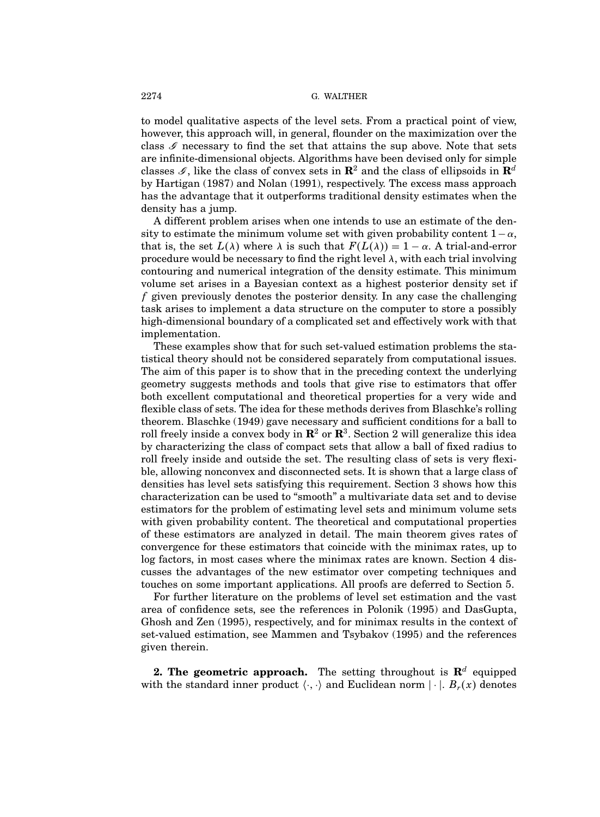to model qualitative aspects of the level sets. From a practical point of view, however, this approach will, in general, flounder on the maximization over the class  $\mathscr S$  necessary to find the set that attains the sup above. Note that sets are infinite-dimensional objects. Algorithms have been devised only for simple classes  $\mathscr{I}$ , like the class of convex sets in  $\mathbb{R}^2$  and the class of ellipsoids in  $\mathbb{R}^d$ by Hartigan (1987) and Nolan (1991), respectively. The excess mass approach has the advantage that it outperforms traditional density estimates when the density has a jump.

A different problem arises when one intends to use an estimate of the density to estimate the minimum volume set with given probability content  $1-\alpha$ , that is, the set  $L(\lambda)$  where  $\lambda$  is such that  $F(L(\lambda)) = 1 - \alpha$ . A trial-and-error procedure would be necessary to find the right level  $\lambda$ , with each trial involving contouring and numerical integration of the density estimate. This minimum volume set arises in a Bayesian context as a highest posterior density set if f given previously denotes the posterior density. In any case the challenging task arises to implement a data structure on the computer to store a possibly high-dimensional boundary of a complicated set and effectively work with that implementation.

These examples show that for such set-valued estimation problems the statistical theory should not be considered separately from computational issues. The aim of this paper is to show that in the preceding context the underlying geometry suggests methods and tools that give rise to estimators that offer both excellent computational and theoretical properties for a very wide and flexible class of sets. The idea for these methods derives from Blaschke's rolling theorem. Blaschke (1949) gave necessary and sufficient conditions for a ball to roll freely inside a convex body in  ${\bf R}^2$  or  ${\bf R}^3.$  Section 2 will generalize this idea by characterizing the class of compact sets that allow a ball of fixed radius to roll freely inside and outside the set. The resulting class of sets is very flexible, allowing nonconvex and disconnected sets. It is shown that a large class of densities has level sets satisfying this requirement. Section 3 shows how this characterization can be used to "smooth" a multivariate data set and to devise estimators for the problem of estimating level sets and minimum volume sets with given probability content. The theoretical and computational properties of these estimators are analyzed in detail. The main theorem gives rates of convergence for these estimators that coincide with the minimax rates, up to log factors, in most cases where the minimax rates are known. Section 4 discusses the advantages of the new estimator over competing techniques and touches on some important applications. All proofs are deferred to Section 5.

For further literature on the problems of level set estimation and the vast area of confidence sets, see the references in Polonik (1995) and DasGupta, Ghosh and Zen (1995), respectively, and for minimax results in the context of set-valued estimation, see Mammen and Tsybakov (1995) and the references given therein.

**2. The geometric approach.** The setting throughout is  $\mathbb{R}^d$  equipped with the standard inner product  $\langle \cdot, \cdot \rangle$  and Euclidean norm  $|\cdot|$ .  $B_r(x)$  denotes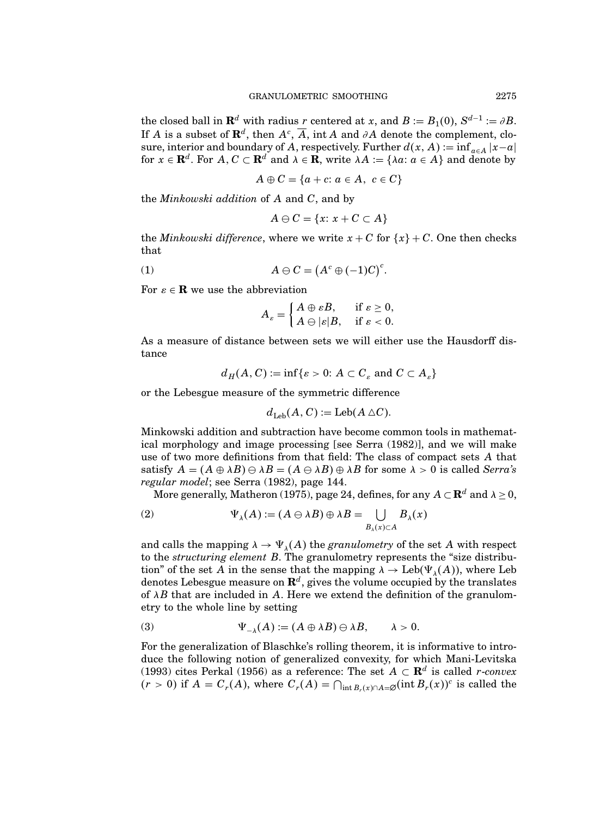${\rm the\ closed\ ball\ in\ }{\bf R}^d \text{ with radius $r$ centered at $x$, and $B:=B_1(0),\,S^{d-1}:=\partial B$.}$ If A is a subset of  $\mathbf{R}^d$ , then  $A^c$ ,  $\overline{A}$ , int A and ∂A denote the complement, closure, interior and boundary of A, respectively. Further  $d(x, A) := \inf_{a \in A} |x-a|$ for  $x \in \mathbf{R}^d$ . For  $A, C \subset \mathbf{R}^d$  and  $\lambda \in \mathbf{R}$ , write  $\lambda A := \{\lambda a : a \in A\}$  and denote by

$$
A \oplus C = \{a + c : a \in A, c \in C\}
$$

the  $Minkowski$  addition of  $A$  and  $C$ , and by

$$
A \ominus C = \{x \colon x + C \subset A\}
$$

the Minkowski difference, where we write  $x + C$  for  $\{x\} + C$ . One then checks that

(1) 
$$
A \ominus C = (A^c \oplus (-1)C)^c.
$$

For  $\varepsilon \in \mathbf{R}$  we use the abbreviation

$$
A_{\varepsilon} = \begin{cases} A \oplus \varepsilon B, & \text{if } \varepsilon \ge 0, \\ A \ominus |\varepsilon| B, & \text{if } \varepsilon < 0. \end{cases}
$$

As a measure of distance between sets we will either use the Hausdorff distance

$$
d_H(A, C) := \inf \{ \varepsilon > 0 : A \subset C_{\varepsilon} \text{ and } C \subset A_{\varepsilon} \}
$$

or the Lebesgue measure of the symmetric difference

$$
d_{\text{Leb}}(A, C) := \text{Leb}(A \triangle C).
$$

Minkowski addition and subtraction have become common tools in mathematical morphology and image processing [see Serra (1982)], and we will make use of two more definitions from that field: The class of compact sets A that satisfy  $A = (A \oplus \lambda B) \oplus \lambda B = (A \oplus \lambda B) \oplus \lambda B$  for some  $\lambda > 0$  is called Serra's regular model; see Serra (1982), page 144.

More generally, Matheron (1975), page 24, defines, for any  $A \subset \mathbf{R}^d$  and  $\lambda \geq 0$ ,

(2) 
$$
\Psi_{\lambda}(A) := (A \ominus \lambda B) \oplus \lambda B = \bigcup_{B_{\lambda}(x) \subset A} B_{\lambda}(x)
$$

and calls the mapping  $\lambda \to \Psi_{\lambda}(A)$  the *granulometry* of the set A with respect to the structuring element B. The granulometry represents the "size distribution" of the set A in the sense that the mapping  $\lambda \to \text{Leb}(\Psi_\lambda(A))$ , where Leb denotes Lebesgue measure on  $\mathbf{R}^{d},$  gives the volume occupied by the translates of  $\lambda B$  that are included in A. Here we extend the definition of the granulometry to the whole line by setting

(3) 
$$
\Psi_{-\lambda}(A) := (A \oplus \lambda B) \ominus \lambda B, \qquad \lambda > 0.
$$

For the generalization of Blaschke's rolling theorem, it is informative to introduce the following notion of generalized convexity, for which Mani-Levitska (1993) cites Perkal (1956) as a reference: The set  $A \subset \mathbf{R}^d$  is called *r*-convex  $(r > 0)$  if  $A = C_r(A)$ , where  $C_r(A) = \bigcap_{\text{int } B_r(x) \cap A = \emptyset} (\text{int } B_r(x))^c$  is called the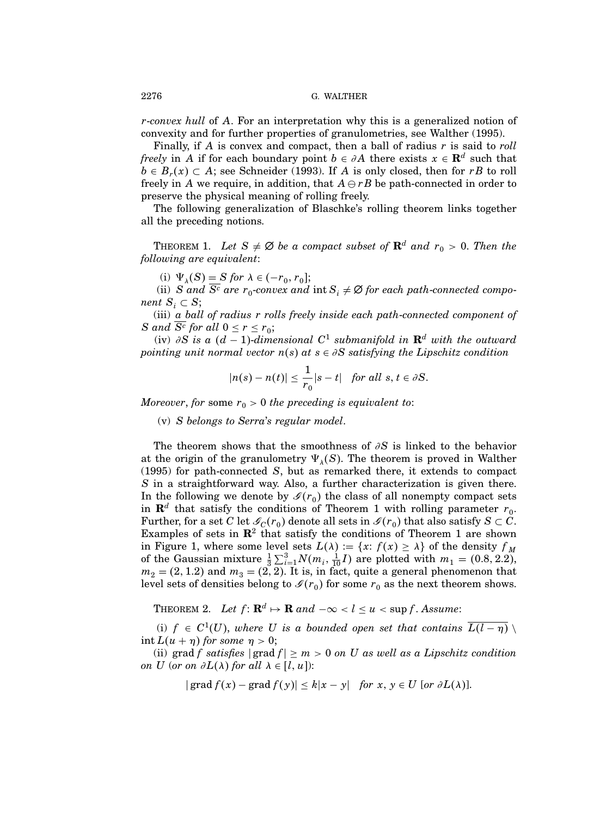r-convex hull of A. For an interpretation why this is a generalized notion of convexity and for further properties of granulometries, see Walther (1995).

Finally, if  $A$  is convex and compact, then a ball of radius  $r$  is said to roll freely in A if for each boundary point  $b \in \partial A$  there exists  $x \in \mathbb{R}^d$  such that  $b \in B_r(x) \subset A$ ; see Schneider (1993). If A is only closed, then for rB to roll freely in A we require, in addition, that  $A \ominus rB$  be path-connected in order to preserve the physical meaning of rolling freely.

The following generalization of Blaschke's rolling theorem links together all the preceding notions.

THEOREM 1. Let  $S \neq \emptyset$  be a compact subset of  $\mathbf{R}^d$  and  $r_0 > 0$ . Then the following are equivalent:

(i)  $\Psi_{\lambda}(S) = S$  for  $\lambda \in (-r_0, r_0]$ ;

(ii) S and S<sup>c</sup> are  $r_0$ -convex and  $\text{int } S_i \neq \emptyset$  for each path-connected component  $S_i \subset S;$ 

(iii) a ball of radius r rolls freely inside each path-connected component of S and S<sup>c</sup> for all  $0 \le r \le r_0$ ;

(iv) ∂S is a  $(d-1)$ -dimensional  $C^1$  submanifold in  $\mathbf{R}^d$  with the outward pointing unit normal vector  $n(s)$  at  $s \in \partial S$  satisfying the Lipschitz condition

$$
|n(s)-n(t)|\leq \frac{1}{r_0}|s-t| \quad \text{for all } s,t\in \partial S.
$$

Moreover, for some  $r_0 > 0$  the preceding is equivalent to:

(v) S belongs to Serra's regular model.

The theorem shows that the smoothness of  $\partial S$  is linked to the behavior at the origin of the granulometry  $\Psi_{\lambda}(S)$ . The theorem is proved in Walther (1995) for path-connected S, but as remarked there, it extends to compact S in a straightforward way. Also, a further characterization is given there. In the following we denote by  $\mathcal{I}(r_0)$  the class of all nonempty compact sets in  $\mathbf{R}^d$  that satisfy the conditions of Theorem 1 with rolling parameter  $r_0$ . Further, for a set C let  $\mathscr{I}_{C}(r_0)$  denote all sets in  $\mathscr{I}(r_0)$  that also satisfy  $S \subset C$ . Examples of sets in  $\mathbb{R}^2$  that satisfy the conditions of Theorem 1 are shown in Figure 1, where some level sets  $L(\lambda) := \{x: f(x) \geq \lambda\}$  of the density  $f_M$ of the Gaussian mixture  $\frac{1}{3}\sum_{i=1}^{3}N(m_i,\frac{1}{10}I)$  are plotted with  $m_1 = (0.8, 2.2),$  $m_2 = (2, 1.2)$  and  $m_3 = (2, 2)$ . It is, in fact, quite a general phenomenon that level sets of densities belong to  $\mathscr{I}(r_0)$  for some  $r_0$  as the next theorem shows.

THEOREM 2. Let  $f: \mathbf{R}^d \mapsto \mathbf{R}$  and  $-\infty < l \leq u < \sup f$ . Assume:

(i)  $f \in C^1(U)$ , where U is a bounded open set that contains  $\overline{L(l-\eta)} \setminus$ int  $L(u + \eta)$  for some  $\eta > 0$ ;

(ii) grad f satisfies  $|grad f| \ge m > 0$  on U as well as a Lipschitz condition on U (or on  $\partial L(\lambda)$  for all  $\lambda \in [l, u]$ ):

$$
|\operatorname{grad} f(x) - \operatorname{grad} f(y)| \leq k|x - y| \quad \text{for } x, y \in U \text{ [or } \partial L(\lambda)].
$$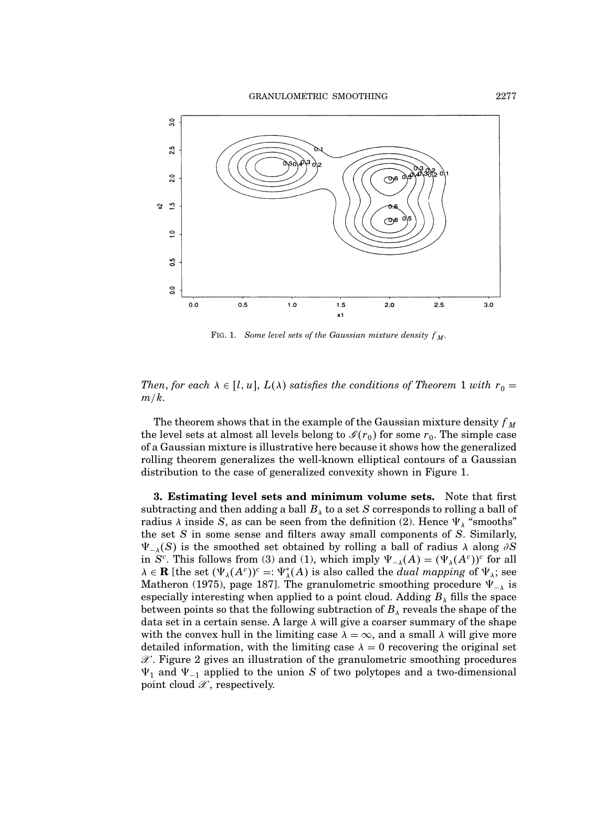

FIG. 1. Some level sets of the Gaussian mixture density  $f_M$ .

Then, for each  $\lambda \in [l, u]$ ,  $L(\lambda)$  satisfies the conditions of Theorem 1 with  $r_0 =$  $m/k$ .

The theorem shows that in the example of the Gaussian mixture density  $f_M$ the level sets at almost all levels belong to  $\mathcal{I}(r_0)$  for some  $r_0$ . The simple case of a Gaussian mixture is illustrative here because it shows how the generalized rolling theorem generalizes the well-known elliptical contours of a Gaussian distribution to the case of generalized convexity shown in Figure 1.

3. Estimating level sets and minimum volume sets. Note that first subtracting and then adding a ball  $B_\lambda$  to a set  $S$  corresponds to rolling a ball of radius  $\lambda$  inside S, as can be seen from the definition (2). Hence  $\Psi_{\lambda}$  "smooths" the set S in some sense and filters away small components of S. Similarly,  $\Psi_{-\lambda}(S)$  is the smoothed set obtained by rolling a ball of radius  $\lambda$  along ∂S in  $S^c$ . This follows from (3) and (1), which imply  $\Psi_{-\lambda}(A) = (\Psi_{\lambda}(A^c))^c$  for all  $\lambda \in \mathbf{R}$  [the set  $(\Psi_{\lambda}(A^c))^c =: \Psi_{\lambda}^*(A)$  is also called the *dual mapping* of  $\Psi_{\lambda}$ ; see Matheron (1975), page 187]. The granulometric smoothing procedure  $\Psi_{-\lambda}$  is especially interesting when applied to a point cloud. Adding  $B_\lambda$  fills the space between points so that the following subtraction of  $B_\lambda$  reveals the shape of the data set in a certain sense. A large  $\lambda$  will give a coarser summary of the shape with the convex hull in the limiting case  $\lambda = \infty$ , and a small  $\lambda$  will give more detailed information, with the limiting case  $\lambda = 0$  recovering the original set  $\mathscr{X}$ . Figure 2 gives an illustration of the granulometric smoothing procedures  $\Psi_1$  and  $\Psi_{-1}$  applied to the union S of two polytopes and a two-dimensional point cloud  $\mathscr X$ , respectively.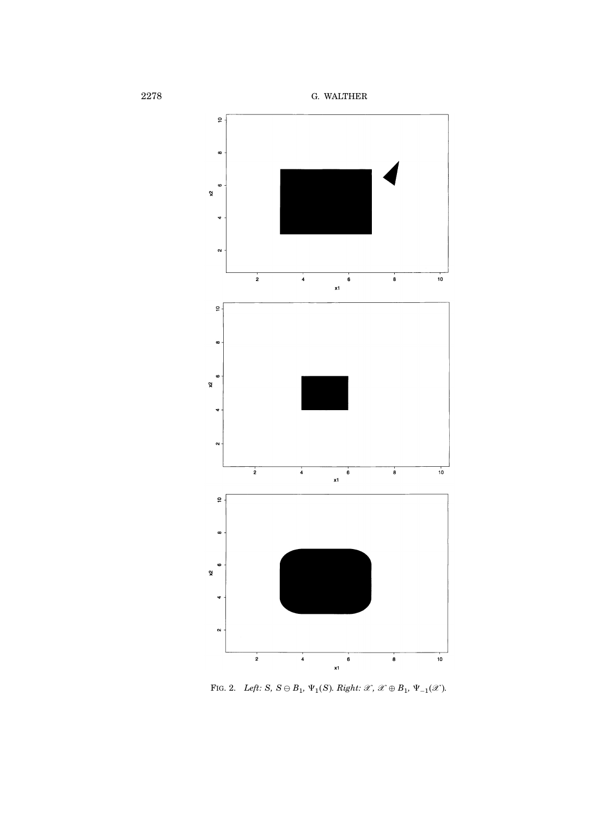

FIG. 2. Left:  $S, S \ominus B_1, \Psi_1(S)$ . Right:  $\mathscr{X}, \mathscr{X} \oplus B_1, \Psi_{-1}(\mathscr{X})$ .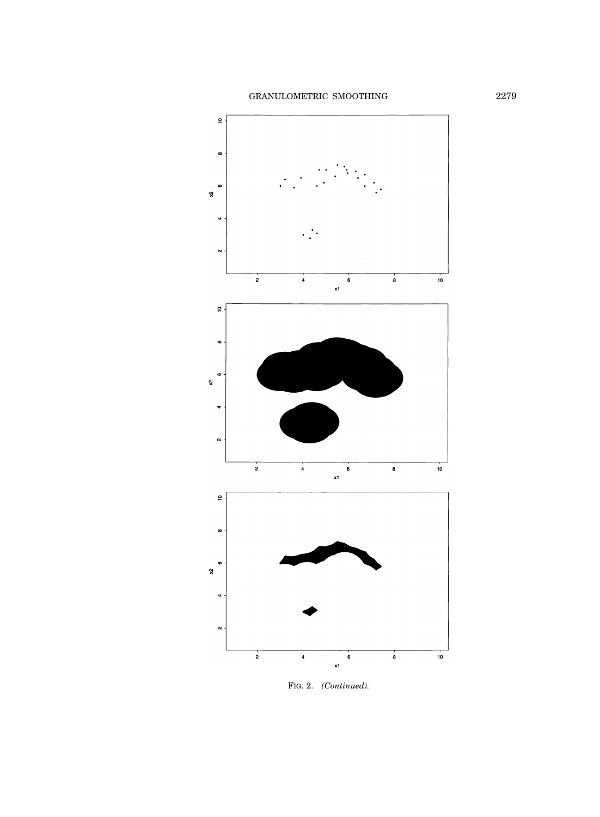

FIG. 2. (Continued).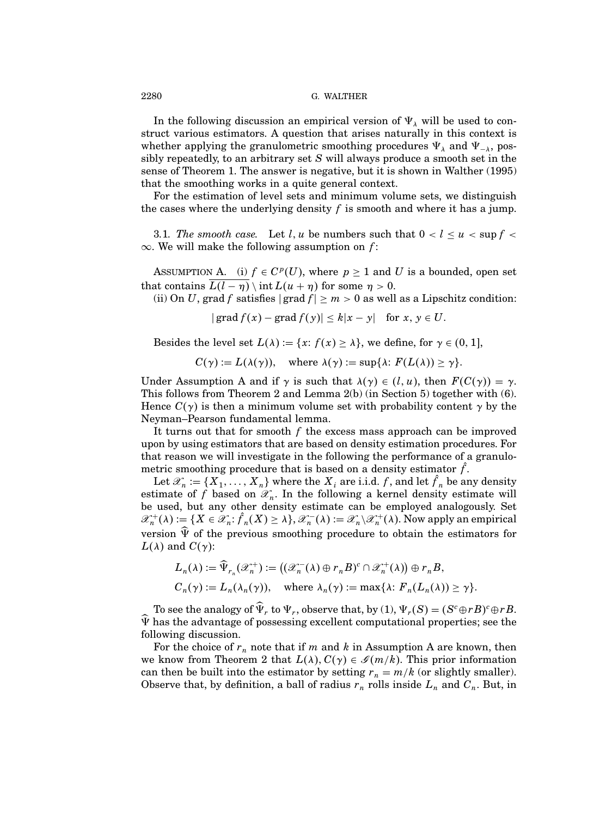In the following discussion an empirical version of  $\Psi_{\lambda}$  will be used to construct various estimators. A question that arises naturally in this context is whether applying the granulometric smoothing procedures  $\Psi_{\lambda}$  and  $\Psi_{-\lambda}$ , possibly repeatedly, to an arbitrary set S will always produce a smooth set in the sense of Theorem 1. The answer is negative, but it is shown in Walther (1995) that the smoothing works in a quite general context.

For the estimation of level sets and minimum volume sets, we distinguish the cases where the underlying density  $f$  is smooth and where it has a jump.

3.1. The smooth case. Let l, u be numbers such that  $0 < l \leq u < \sup f <$  $\infty$ . We will make the following assumption on f:

ASSUMPTION A. (i)  $f \in C^p(U)$ , where  $p \ge 1$  and U is a bounded, open set that contains  $\overline{L(l-\eta)}\setminus \text{int } L(u+\eta)$  for some  $\eta > 0$ .

(ii) On U, grad f satisfies  $|grad f| \ge m > 0$  as well as a Lipschitz condition:

 $|grad f(x) - grad f(y)| \leq k|x - y|$  for  $x, y \in U$ .

Besides the level set  $L(\lambda) := \{x: f(x) \geq \lambda\}$ , we define, for  $\gamma \in (0, 1]$ ,

$$
C(\gamma) := L(\lambda(\gamma)), \quad \text{where } \lambda(\gamma) := \sup \{ \lambda : F(L(\lambda)) \ge \gamma \}.
$$

Under Assumption A and if  $\gamma$  is such that  $\lambda(\gamma) \in (l, u)$ , then  $F(C(\gamma)) = \gamma$ . This follows from Theorem 2 and Lemma 2(b) (in Section 5) together with (6). Hence  $C(\gamma)$  is then a minimum volume set with probability content  $\gamma$  by the Neyman–Pearson fundamental lemma.

It turns out that for smooth  $f$  the excess mass approach can be improved upon by using estimators that are based on density estimation procedures. For that reason we will investigate in the following the performance of a granulometric smoothing procedure that is based on a density estimator  $\hat{f}$ .

Let  $\mathscr{X}_n := \{X_1, \ldots, X_n\}$  where the  $X_i$  are i.i.d.  $f$ , and let  $f_n$  be any density estimate of f based on  $\mathscr{X}_n$ . In the following a kernel density estimate will be used, but any other density estimate can be employed analogously. Set  $\mathscr{X}_n^+(\lambda) := \{X \in \mathscr{X}_n \colon f_n(X) \geq \lambda\}, \mathscr{X}_n^-(\lambda) := \mathscr{X}_n \backslash \mathscr{X}_n^+(\lambda).$  Now apply an empirical version  $\hat{\Psi}$  of the previous smoothing procedure to obtain the estimators for  $L(\lambda)$  and  $C(\gamma)$ :

$$
L_n(\lambda) := \widehat{\Psi}_{r_n}(\mathscr{X}_n^+) := ((\mathscr{X}_n^-(\lambda) \oplus r_n B)^c \cap \mathscr{X}_n^+(\lambda)) \oplus r_n B,
$$
  

$$
C_n(\gamma) := L_n(\lambda_n(\gamma)), \quad \text{where } \lambda_n(\gamma) := \max\{\lambda : F_n(L_n(\lambda)) \ge \gamma\}.
$$

To see the analogy of  $\widehat{\Psi}_r$  to  $\Psi_r$ , observe that, by (1),  $\Psi_r(S) = (S^c \oplus rB)^c \oplus rB$ .  $\widehat{\Psi}$  has the advantage of possessing excellent computational properties; see the following discussion.

For the choice of  $r_n$  note that if m and k in Assumption A are known, then we know from Theorem 2 that  $L(\lambda)$ ,  $C(\gamma) \in \mathscr{I}(m/k)$ . This prior information can then be built into the estimator by setting  $r_n = m/k$  (or slightly smaller). Observe that, by definition, a ball of radius  $r_n$  rolls inside  $L_n$  and  $C_n$ . But, in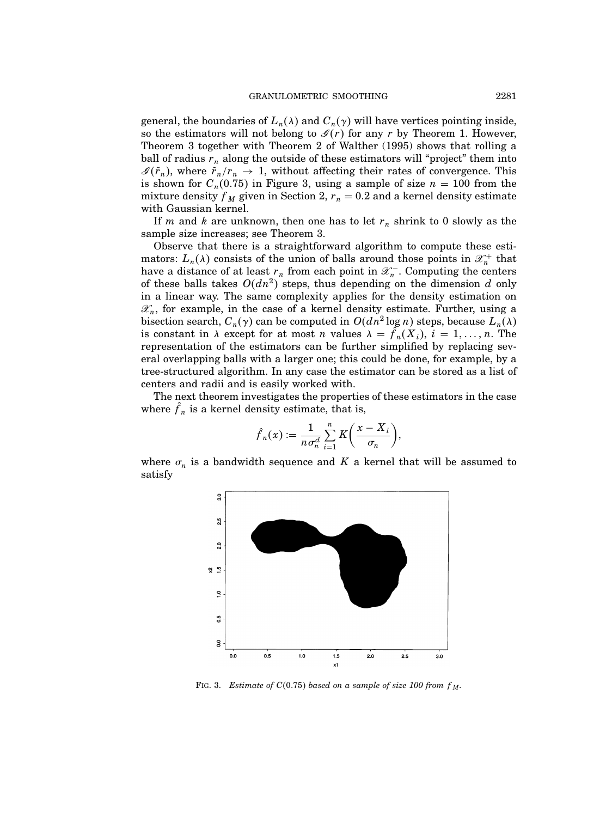general, the boundaries of  $L_n(\lambda)$  and  $C_n(\gamma)$  will have vertices pointing inside, so the estimators will not belong to  $\mathcal{I}(r)$  for any r by Theorem 1. However, Theorem 3 together with Theorem 2 of Walther (1995) shows that rolling a ball of radius  $r_n$  along the outside of these estimators will "project" them into  $\mathscr{I}(\tilde{r}_n)$ , where  $\tilde{r}_n/r_n \to 1$ , without affecting their rates of convergence. This is shown for  $C_n(0.75)$  in Figure 3, using a sample of size  $n = 100$  from the mixture density  $f_M$  given in Section 2,  $r_n = 0.2$  and a kernel density estimate with Gaussian kernel.

If m and k are unknown, then one has to let  $r_n$  shrink to 0 slowly as the sample size increases; see Theorem 3.

Observe that there is a straightforward algorithm to compute these estimators:  $L_n(\lambda)$  consists of the union of balls around those points in  $\mathscr{X}_n^+$  that have a distance of at least  $r_n$  from each point in  $\mathscr{X}_n^-$ . Computing the centers of these balls takes  $O(dn^2)$  steps, thus depending on the dimension d only in a linear way. The same complexity applies for the density estimation on  $\mathscr{X}_n$ , for example, in the case of a kernel density estimate. Further, using a bisection search,  $C_n(\gamma)$  can be computed in  $O(dn^2 \log n)$  steps, because  $L_n(\lambda)$ is constant in  $\lambda$  except for at most n values  $\lambda = f_n(X_i)$ ,  $i = 1, ..., n$ . The representation of the estimators can be further simplified by replacing several overlapping balls with a larger one; this could be done, for example, by a tree-structured algorithm. In any case the estimator can be stored as a list of centers and radii and is easily worked with.

The next theorem investigates the properties of these estimators in the case where  $f_n$  is a kernel density estimate, that is,

$$
\hat{f}_n(x) := \frac{1}{n \sigma_n^d} \sum_{i=1}^n K\bigg(\frac{x - X_i}{\sigma_n}\bigg),\,
$$

where  $\sigma_n$  is a bandwidth sequence and K a kernel that will be assumed to satisfy



FIG. 3. Estimate of  $C(0.75)$  based on a sample of size 100 from  $f_M$ .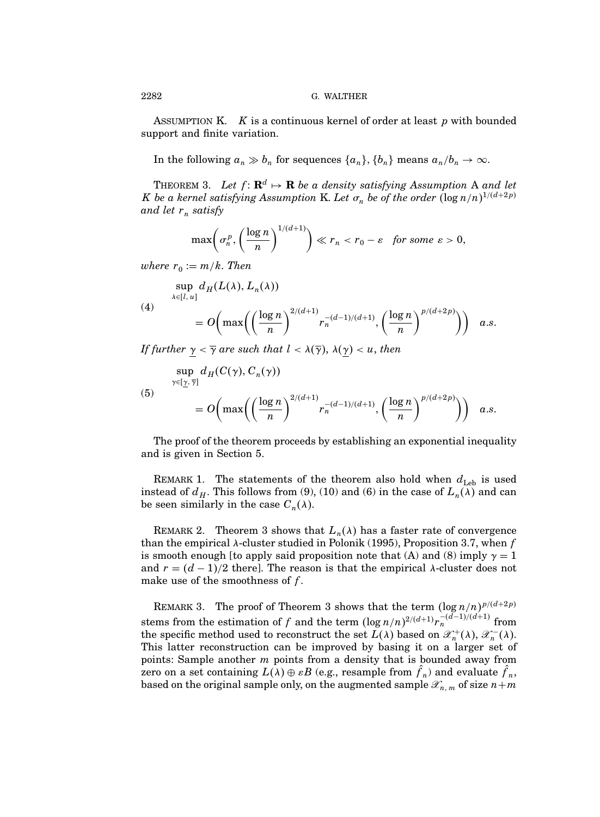ASSUMPTION K.  $K$  is a continuous kernel of order at least  $p$  with bounded support and finite variation.

In the following  $a_n \gg b_n$  for sequences  $\{a_n\}$ ,  $\{b_n\}$  means  $a_n/b_n \to \infty$ .

THEOREM 3. Let  $f: \mathbf{R}^d \mapsto \mathbf{R}$  be a density satisfying Assumption A and let K be a kernel satisfying Assumption K. Let  $\sigma_n$  be of the order  $(\log n/n)^{1/(d+2p)}$ and let  $r_n$  satisfy

$$
\max\left(\sigma_n^p,\left(\frac{\log n}{n}\right)^{1/(d+1)}\right)\ll r_n < r_0 - \varepsilon \quad \text{for some } \varepsilon > 0,
$$

where  $r_0 := m/k$ . Then

$$
\sup_{\lambda \in [l, u]} d_H(L(\lambda), L_n(\lambda))
$$
\n
$$
= O\left(\max\left(\left(\frac{\log n}{n}\right)^{2/(d+1)} r_n^{-(d-1)/(d+1)}, \left(\frac{\log n}{n}\right)^{p/(d+2p)}\right)\right) \quad a.s.
$$

If further  $\gamma < \overline{\gamma}$  are such that  $l < \lambda(\overline{\gamma})$ ,  $\lambda(\gamma) < u$ , then

$$
\sup_{\gamma \in [\underline{\gamma}, \overline{\gamma}]} d_H(C(\gamma), C_n(\gamma))
$$
\n
$$
= O\left(\max\left(\left(\frac{\log n}{n}\right)^{2/(d+1)} r_n^{-(d-1)/(d+1)}, \left(\frac{\log n}{n}\right)^{p/(d+2p)}\right)\right) \quad a.s.
$$

The proof of the theorem proceeds by establishing an exponential inequality and is given in Section 5.

REMARK 1. The statements of the theorem also hold when  $d_{\text{Leb}}$  is used instead of  $d_H$ . This follows from (9), (10) and (6) in the case of  $L_n(\lambda)$  and can be seen similarly in the case  $C_n(\lambda)$ .

REMARK 2. Theorem 3 shows that  $L_n(\lambda)$  has a faster rate of convergence than the empirical  $\lambda$ -cluster studied in Polonik (1995), Proposition 3.7, when f is smooth enough [to apply said proposition note that (A) and (8) imply  $\gamma = 1$ and  $r = (d-1)/2$  there]. The reason is that the empirical  $\lambda$ -cluster does not make use of the smoothness of  $f$ .

REMARK 3. The proof of Theorem 3 shows that the term  $(\log n/n)^{p/(d+2p)}$ stems from the estimation of f and the term  $(\log n/n)^{2/(d+1)}r_n^{-(d-1)/(d+1)}$  from the specific method used to reconstruct the set  $L(\lambda)$  based on  $\mathscr{X}_n^+(\lambda)$ ,  $\mathscr{X}_n^-(\lambda)$ . This latter reconstruction can be improved by basing it on a larger set of points: Sample another  $m$  points from a density that is bounded away from zero on a set containing  $L(\lambda) \oplus \varepsilon B$  (e.g., resample from  $f_n$ ) and evaluate  $f_n$ , based on the original sample only, on the augmented sample  $\mathscr{X}_{n,m}$  of size  $n+m$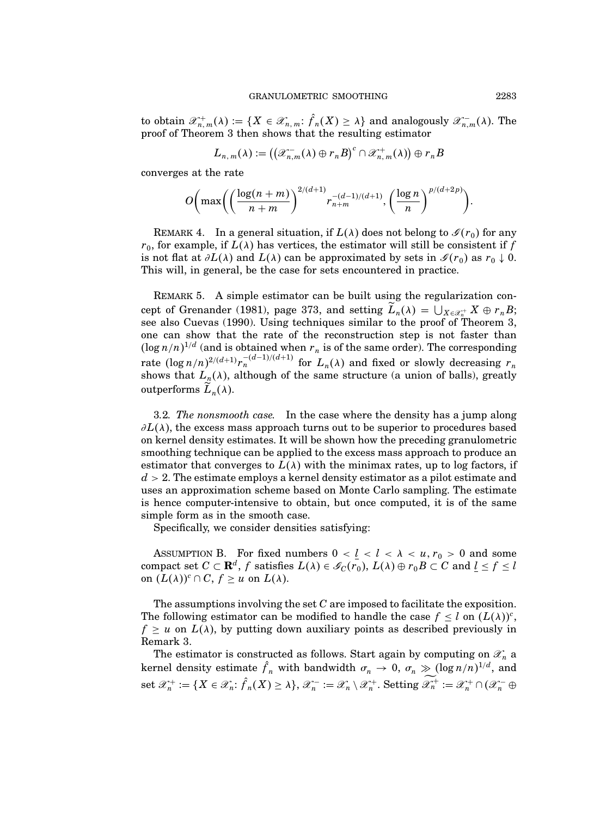to obtain  $\mathscr{X}_{n,m}^+(\lambda) := \{X \in \mathscr{X}_{n,m}: f_n(X) \geq \lambda\}$  and analogously  $\mathscr{X}_{n,m}^-(\lambda)$ . The proof of Theorem 3 then shows that the resulting estimator

$$
L_{n,m}(\lambda):=\big(\big(\mathscr{X}_{n,m}^-(\lambda)\oplus r_nB\big)^c\cap \mathscr{X}_{n,m}^+(\lambda)\big)\oplus r_nB
$$

converges at the rate

$$
O\bigg(\max\bigg(\bigg(\frac{\log(n+m)}{n+m}\bigg)^{2/(d+1)}r_{n+m}^{-(d-1)/(d+1)},\bigg(\frac{\log n}{n}\bigg)^{p/(d+2p)}\bigg).
$$

REMARK 4. In a general situation, if  $L(\lambda)$  does not belong to  $\mathscr{I}(r_0)$  for any  $r_0$ , for example, if  $L(\lambda)$  has vertices, the estimator will still be consistent if f is not flat at  $\partial L(\lambda)$  and  $L(\lambda)$  can be approximated by sets in  $\mathscr{I}(r_0)$  as  $r_0 \downarrow 0$ . This will, in general, be the case for sets encountered in practice.

REMARK 5. A simple estimator can be built using the regularization concept of Grenander (1981), page 373, and setting  $L_n(\lambda) = \bigcup_{X \in \mathcal{X}_n^+} X \oplus r_n B;$ see also Cuevas (1990). Using techniques similar to the proof of Theorem 3, one can show that the rate of the reconstruction step is not faster than  $(\log n/n)^{1/d}$  (and is obtained when  $r_n$  is of the same order). The corresponding rate  $(\log n/n)^{2/(d+1)}r_n^{-(d-1)/(d+1)}$  for  $L_n(\lambda)$  and fixed or slowly decreasing  $r_n$ shows that  $L_n(\lambda)$ , although of the same structure (a union of balls), greatly outperforms  $L_n(\lambda)$ .

3.2. The nonsmooth case. In the case where the density has a jump along  $\partial L(\lambda)$ , the excess mass approach turns out to be superior to procedures based on kernel density estimates. It will be shown how the preceding granulometric smoothing technique can be applied to the excess mass approach to produce an estimator that converges to  $L(\lambda)$  with the minimax rates, up to log factors, if  $d > 2$ . The estimate employs a kernel density estimator as a pilot estimate and uses an approximation scheme based on Monte Carlo sampling. The estimate is hence computer-intensive to obtain, but once computed, it is of the same simple form as in the smooth case.

Specifically, we consider densities satisfying:

ASSUMPTION B. For fixed numbers  $0 < l < l < \lambda < u, r_0 > 0$  and some compact set  $C \subset \mathbf{R}^d$ , f satisfies  $L(\lambda) \in \mathscr{G}_C(r_0)$ ,  $L(\lambda) \oplus r_0 B \subset C$  and  $\underline{l} \leq f \leq l$ on  $(L(\lambda))^c \cap C$ ,  $f \geq u$  on  $L(\lambda)$ .

The assumptions involving the set  $C$  are imposed to facilitate the exposition. The following estimator can be modified to handle the case  $f \leq l$  on  $(L(\lambda))^{c}$ ,  $f \geq u$  on  $L(\lambda)$ , by putting down auxiliary points as described previously in Remark 3.

The estimator is constructed as follows. Start again by computing on  $\mathscr{X}_n$  a kernel density estimate  $\hat{f}_n$  with bandwidth  $\sigma_n \to 0$ ,  $\sigma_n \gg (\log n/n)^{1/d}$ , and set  $\mathscr{X}_n^+ := \{ X \in \mathscr{X}_n : f_n(X) \ge \lambda \}, \mathscr{X}_n^- := \mathscr{X}_n \setminus \mathscr{X}_n^+$ . Setting  $\mathscr{X}_n^+ := \mathscr{X}_n^+ \cap (\mathscr{X}_n^- \oplus \mathscr{X}_n^-)$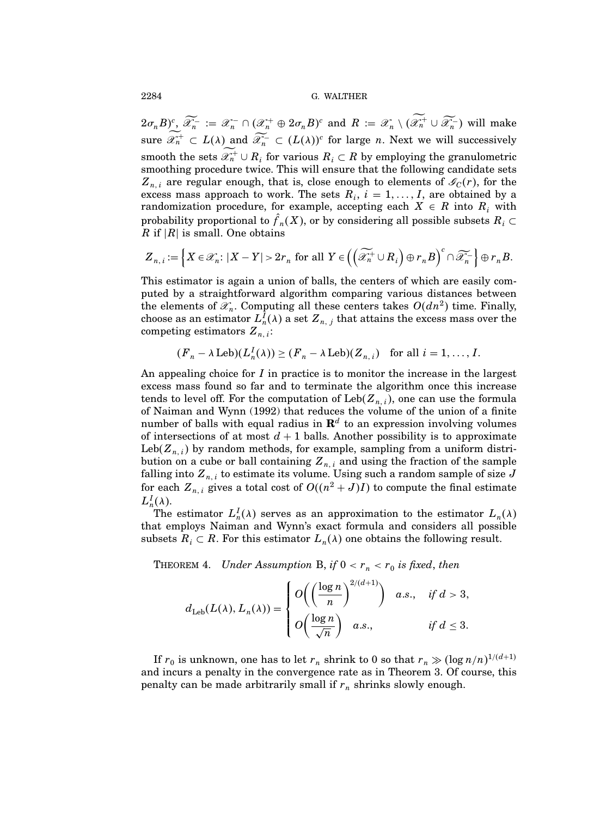$(2\sigma_n B)_\infty^c$   $\widetilde{\mathscr{X}_n^-} := \mathscr{X}_n^- \cap (\mathscr{X}_n^+ \oplus 2\sigma_n B)^c$  and  $R := \mathscr{X}_n \setminus (\mathscr{X}_n^+ \cup \widetilde{\mathscr{X}_n^-})$  will make sure  $\mathscr{X}_n^+ \subset L(\lambda)$  and  $\widetilde{\mathscr{X}_n^-} \subset (L(\lambda))^c$  for large *n*. Next we will successively smooth the sets  $\mathscr{X}_n^+ \cup R_i$  for various  $R_i \subset R$  by employing the granulometric smoothing procedure twice. This will ensure that the following candidate sets  $Z_{n,i}$  are regular enough, that is, close enough to elements of  $\mathcal{L}_C(r)$ , for the excess mass approach to work. The sets  $R_i$ ,  $i = 1, \ldots, I$ , are obtained by a randomization procedure, for example, accepting each  $X \in R$  into  $R_i$  with probability proportional to  $f_n(X)$ , or by considering all possible subsets  $R_i \subset$ R if  $|R|$  is small. One obtains

$$
\boldsymbol{Z}_{n,i}:=\left\{\boldsymbol{X}\in\mathscr{X}_n\colon\lvert \boldsymbol{X}-\boldsymbol{Y}\rvert>2r_n\text{ for all }\boldsymbol{Y}\in\left(\left(\widetilde{\mathscr{X}}_n^+\cup R_i\right)\oplus r_n\boldsymbol{B}\right)^c\cap\widetilde{\mathscr{X}}_n^-\right\}\oplus r_n\boldsymbol{B}.
$$

This estimator is again a union of balls, the centers of which are easily computed by a straightforward algorithm comparing various distances between the elements of  $\mathscr{X}_n$ . Computing all these centers takes  $O(dn^2)$  time. Finally, choose as an estimator  $L_n^I(\lambda)$  a set  $Z_{n,j}$  that attains the excess mass over the competing estimators  $Z_{n,i}$ :

$$
(F_n - \lambda \operatorname{Leb})(L_n^I(\lambda)) \ge (F_n - \lambda \operatorname{Leb})(Z_{n,i})
$$
 for all  $i = 1, ..., I$ .

An appealing choice for  $I$  in practice is to monitor the increase in the largest excess mass found so far and to terminate the algorithm once this increase tends to level off. For the computation of  $\text{Leb}(Z_{n,i})$ , one can use the formula of Naiman and Wynn (1992) that reduces the volume of the union of a finite number of balls with equal radius in  $\mathbf{R}^{d}$  to an expression involving volumes of intersections of at most  $d+1$  balls. Another possibility is to approximate Leb( $Z_{n,i}$ ) by random methods, for example, sampling from a uniform distribution on a cube or ball containing  $Z_{n,i}$  and using the fraction of the sample falling into  $\boldsymbol{Z}_{n,\,i}$  to estimate its volume. Using such a random sample of size  $J$ for each  $Z_{n,i}$  gives a total cost of  $O((n^2+J)I)$  to compute the final estimate  $L_n^I(\lambda)$ .

The estimator  $L_n^I(\lambda)$  serves as an approximation to the estimator  $L_n(\lambda)$ that employs Naiman and Wynn's exact formula and considers all possible subsets  $R_i \subset R$ . For this estimator  $L_n(\lambda)$  one obtains the following result.

THEOREM 4. Under Assumption B, if  $0 < r_n < r_0$  is fixed, then

$$
d_{\text{Leb}}(L(\lambda), L_n(\lambda)) = \begin{cases} O\left(\left(\frac{\log n}{n}\right)^{2/(d+1)}\right) & a.s., & \text{if } d > 3, \\ O\left(\frac{\log n}{\sqrt{n}}\right) & a.s., & \text{if } d \leq 3. \end{cases}
$$

If  $r_0$  is unknown, one has to let  $r_n$  shrink to 0 so that  $r_n \gg (\log n/n)^{1/(d+1)}$ and incurs a penalty in the convergence rate as in Theorem 3. Of course, this penalty can be made arbitrarily small if  $r_n$  shrinks slowly enough.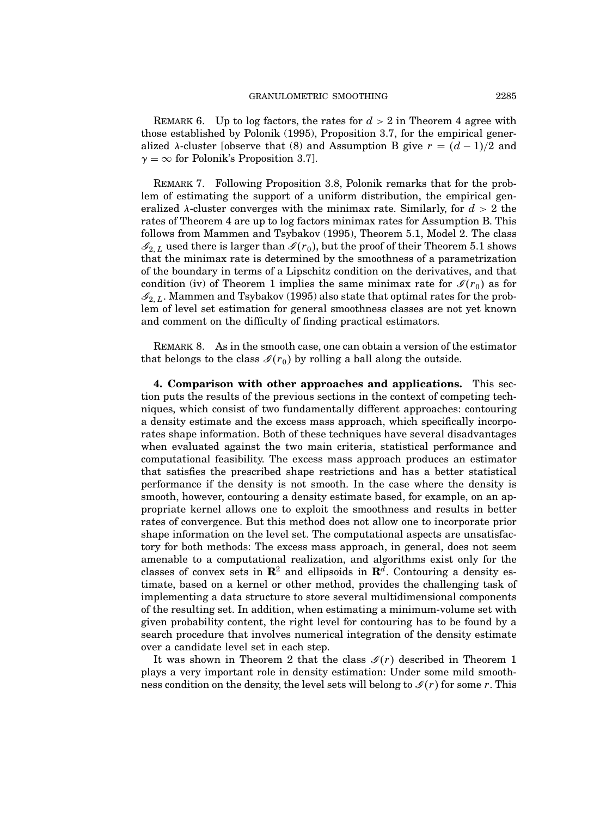REMARK 6. Up to log factors, the rates for  $d > 2$  in Theorem 4 agree with those established by Polonik (1995), Proposition 3.7, for the empirical generalized  $\lambda$ -cluster [observe that (8) and Assumption B give  $r = (d-1)/2$  and  $\gamma = \infty$  for Polonik's Proposition 3.7].

Remark 7. Following Proposition 3.8, Polonik remarks that for the problem of estimating the support of a uniform distribution, the empirical generalized  $\lambda$ -cluster converges with the minimax rate. Similarly, for  $d > 2$  the rates of Theorem 4 are up to log factors minimax rates for Assumption B. This follows from Mammen and Tsybakov (1995), Theorem 5.1, Model 2. The class  $\mathscr{I}_{2,L}$  used there is larger than  $\mathscr{I}(r_0)$ , but the proof of their Theorem 5.1 shows that the minimax rate is determined by the smoothness of a parametrization of the boundary in terms of a Lipschitz condition on the derivatives, and that condition (iv) of Theorem 1 implies the same minimax rate for  $\mathscr{I}(r_0)$  as for  $\mathcal{I}_{2,L}$ . Mammen and Tsybakov (1995) also state that optimal rates for the problem of level set estimation for general smoothness classes are not yet known and comment on the difficulty of finding practical estimators.

REMARK 8. As in the smooth case, one can obtain a version of the estimator that belongs to the class  $\mathscr{I}(r_0)$  by rolling a ball along the outside.

4. Comparison with other approaches and applications. This section puts the results of the previous sections in the context of competing techniques, which consist of two fundamentally different approaches: contouring a density estimate and the excess mass approach, which specifically incorporates shape information. Both of these techniques have several disadvantages when evaluated against the two main criteria, statistical performance and computational feasibility. The excess mass approach produces an estimator that satisfies the prescribed shape restrictions and has a better statistical performance if the density is not smooth. In the case where the density is smooth, however, contouring a density estimate based, for example, on an appropriate kernel allows one to exploit the smoothness and results in better rates of convergence. But this method does not allow one to incorporate prior shape information on the level set. The computational aspects are unsatisfactory for both methods: The excess mass approach, in general, does not seem amenable to a computational realization, and algorithms exist only for the classes of convex sets in  $\mathbb{R}^2$  and ellipsoids in  $\mathbb{R}^d$ . Contouring a density estimate, based on a kernel or other method, provides the challenging task of implementing a data structure to store several multidimensional components of the resulting set. In addition, when estimating a minimum-volume set with given probability content, the right level for contouring has to be found by a search procedure that involves numerical integration of the density estimate over a candidate level set in each step.

It was shown in Theorem 2 that the class  $\mathcal{I}(r)$  described in Theorem 1 plays a very important role in density estimation: Under some mild smoothness condition on the density, the level sets will belong to  $\mathcal{I}(r)$  for some r. This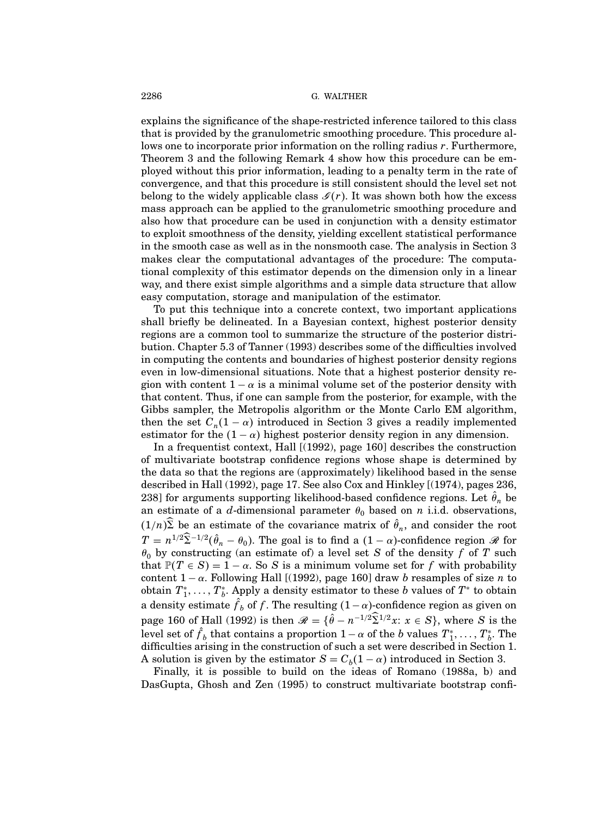explains the significance of the shape-restricted inference tailored to this class that is provided by the granulometric smoothing procedure. This procedure allows one to incorporate prior information on the rolling radius r. Furthermore, Theorem 3 and the following Remark 4 show how this procedure can be employed without this prior information, leading to a penalty term in the rate of convergence, and that this procedure is still consistent should the level set not belong to the widely applicable class  $\mathcal{I}(r)$ . It was shown both how the excess mass approach can be applied to the granulometric smoothing procedure and also how that procedure can be used in conjunction with a density estimator to exploit smoothness of the density, yielding excellent statistical performance in the smooth case as well as in the nonsmooth case. The analysis in Section 3 makes clear the computational advantages of the procedure: The computational complexity of this estimator depends on the dimension only in a linear way, and there exist simple algorithms and a simple data structure that allow easy computation, storage and manipulation of the estimator.

To put this technique into a concrete context, two important applications shall briefly be delineated. In a Bayesian context, highest posterior density regions are a common tool to summarize the structure of the posterior distribution. Chapter 5.3 of Tanner (1993) describes some of the difficulties involved in computing the contents and boundaries of highest posterior density regions even in low-dimensional situations. Note that a highest posterior density region with content  $1 - \alpha$  is a minimal volume set of the posterior density with that content. Thus, if one can sample from the posterior, for example, with the Gibbs sampler, the Metropolis algorithm or the Monte Carlo EM algorithm, then the set  $C_n(1-\alpha)$  introduced in Section 3 gives a readily implemented estimator for the  $(1 - \alpha)$  highest posterior density region in any dimension.

In a frequentist context, Hall [(1992), page 160] describes the construction of multivariate bootstrap confidence regions whose shape is determined by the data so that the regions are (approximately) likelihood based in the sense described in Hall (1992), page 17. See also Cox and Hinkley [(1974), pages 236, 238] for arguments supporting likelihood-based confidence regions. Let  $\hat{\theta}_n$  be an estimate of a d-dimensional parameter  $\theta_0$  based on n i.i.d. observations,  $(1/n)\Sigma$  be an estimate of the covariance matrix of  $\hat{\theta}_n$ , and consider the root  $T = n^{1/2} \Sigma^{-1/2} (\hat{\theta}_n - \theta_0)$ . The goal is to find a  $(1 - \alpha)$ -confidence region  $\mathscr R$  for  $\theta_0$  by constructing (an estimate of) a level set S of the density f of T such that  $\mathbb{P}(T \in S) = 1 - \alpha$ . So S is a minimum volume set for f with probability content  $1 - \alpha$ . Following Hall [(1992), page 160] draw b resamples of size n to obtain  $T^*_1,\ldots,T^*_b.$  Apply a density estimator to these  $b$  values of  $T^*$  to obtain a density estimate  $f_b$  of f. The resulting  $(1-\alpha)$ -confidence region as given on page 160 of Hall (1992) is then  $\mathscr{R} = \{ \hat{\theta} - n^{-1/2} \Sigma^{1/2} x : x \in S \}$ , where S is the level set of  $f_b$  that contains a proportion  $1-\alpha$  of the b values  $T_1^*, \ldots, T_b^*$ . The difficulties arising in the construction of such a set were described in Section 1. A solution is given by the estimator  $S = C_b(1 - \alpha)$  introduced in Section 3.

Finally, it is possible to build on the ideas of Romano (1988a, b) and DasGupta, Ghosh and Zen (1995) to construct multivariate bootstrap confi-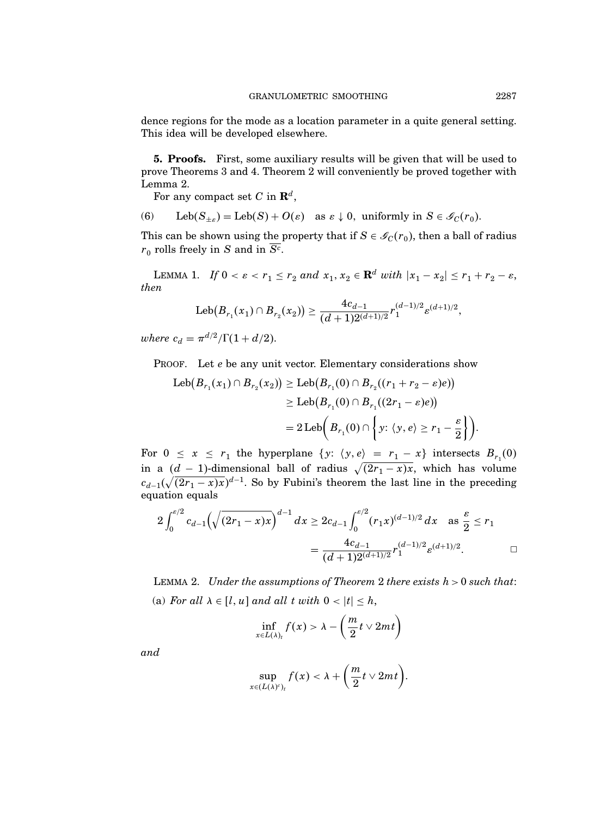dence regions for the mode as a location parameter in a quite general setting. This idea will be developed elsewhere.

5. Proofs. First, some auxiliary results will be given that will be used to prove Theorems 3 and 4. Theorem 2 will conveniently be proved together with Lemma 2.

For any compact set C in  $\mathbf{R}^{d}$ ,

(6) Leb $(S_{\pm \varepsilon}) = \text{Leb}(S) + O(\varepsilon)$  as  $\varepsilon \downarrow 0$ , uniformly in  $S \in \mathscr{I}_{C}(r_{0})$ .

This can be shown using the property that if  $S \in \mathscr{I}_{C}(r_{0}),$  then a ball of radius  $r_0$  rolls freely in S and in S<sup>c</sup>.

LEMMA 1. If  $0 < \varepsilon < r_1 \leq r_2$  and  $x_1, x_2 \in \mathbf{R}^d$  with  $|x_1 - x_2| \leq r_1 + r_2 - \varepsilon$ , then

$$
\text{\rm Leb}(B_{r_1}(x_1)\cap B_{r_2}(x_2))\geq \frac{4c_{d-1}}{(d+1)2^{(d+1)/2}}r_1^{(d-1)/2}\varepsilon^{(d+1)/2},
$$

where  $c_d = \pi^{d/2}/\Gamma(1+d/2)$ .

PROOF. Let e be any unit vector. Elementary considerations show

$$
\begin{aligned} \operatorname{Leb}(B_{r_1}(x_1)\cap B_{r_2}(x_2)) &\geq \operatorname{Leb}(B_{r_1}(0)\cap B_{r_2}((r_1+r_2-\varepsilon)e)) \\ &\geq \operatorname{Leb}\bigl(B_{r_1}(0)\cap B_{r_1}((2r_1-\varepsilon)e)\bigr) \\ &= 2\operatorname{Leb}\biggl(B_{r_1}(0)\cap \left\{y;\,\langle y,e\rangle\geq r_1-\frac{\varepsilon}{2}\right\}\biggr). \end{aligned}
$$

For  $0 \le x \le r_1$  the hyperplane  $\{y: \langle y, e \rangle = r_1 - x\}$  intersects  $B_{r_1}(0)$ in a  $(d-1)$ -dimensional ball of radius  $\sqrt{(2r_1 - x)x}$ , which has volume  $c_{d-1}(\sqrt{(2r_1-x)x})^{d-1}$ . So by Fubini's theorem the last line in the preceding equation equals

$$
2\int_0^{\varepsilon/2} c_{d-1} \left(\sqrt{(2r_1 - x)x}\right)^{d-1} dx \ge 2c_{d-1} \int_0^{\varepsilon/2} (r_1 x)^{(d-1)/2} dx \text{ as } \frac{\varepsilon}{2} \le r_1
$$
  
= 
$$
\frac{4c_{d-1}}{(d+1)2^{(d+1)/2}} r_1^{(d-1)/2} \varepsilon^{(d+1)/2}.
$$

LEMMA 2. Under the assumptions of Theorem 2 there exists  $h > 0$  such that: (a) For all  $\lambda \in [l, u]$  and all t with  $0 < |t| \leq h$ ,

$$
\inf_{x\in L(\lambda)_t} f(x) > \lambda - \left(\frac{m}{2}t\vee 2mt\right)
$$

and

$$
\sup_{x\in (L(\lambda)^c)_t} f(x) < \lambda + \bigg(\frac{m}{2}t\vee 2mt\bigg).
$$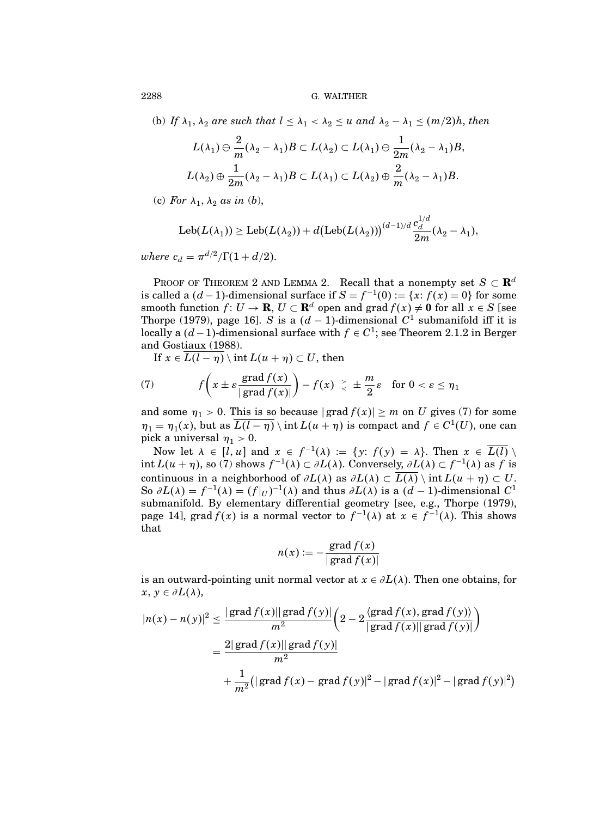(b) If  $\lambda_1$ ,  $\lambda_2$  are such that  $l \leq \lambda_1 < \lambda_2 \leq u$  and  $\lambda_2 - \lambda_1 \leq (m/2)h$ , then

$$
L(\lambda_1) \ominus \frac{2}{m} (\lambda_2 - \lambda_1) B \subset L(\lambda_2) \subset L(\lambda_1) \ominus \frac{1}{2m} (\lambda_2 - \lambda_1) B,
$$
  

$$
L(\lambda_2) \oplus \frac{1}{2m} (\lambda_2 - \lambda_1) B \subset L(\lambda_1) \subset L(\lambda_2) \oplus \frac{2}{m} (\lambda_2 - \lambda_1) B.
$$

(c) For  $\lambda_1$ ,  $\lambda_2$  as in (b),

$$
\text{Leb}(L(\lambda_1)) \ge \text{Leb}(L(\lambda_2)) + d\big(\text{Leb}(L(\lambda_2))\big)^{(d-1)/d} \frac{c_d^{1/d}}{2m}(\lambda_2 - \lambda_1),
$$

where  $c_d = \pi^{d/2}/\Gamma(1+d/2)$ .

PROOF OF THEOREM 2 AND LEMMA 2. Recall that a nonempty set  $S \subset \mathbf{R}^d$ is called a  $(d-1)$ -dimensional surface if  $S = f^{-1}(0) := \{x: f(x) = 0\}$  for some smooth function  $f: U \to \mathbf{R}, U \subset \mathbf{R}^d$  open and grad  $f(x) \neq 0$  for all  $x \in S$  [see Thorpe (1979), page 16]. S is a  $(d-1)$ -dimensional  $C^1$  submanifold iff it is locally a  $(d-1)$ -dimensional surface with  $f \in C^1$ ; see Theorem 2.1.2 in Berger and Gostiaux (1988).

If  $x \in \overline{L(l-\eta)} \setminus \text{int } L(u+\eta) \subset U$ , then

(7) 
$$
f\left(x \pm \varepsilon \frac{\text{grad } f(x)}{|\text{grad } f(x)|}\right) - f(x) \geq \pm \frac{m}{2}\varepsilon \text{ for } 0 < \varepsilon \leq \eta_1
$$

and some  $\eta_1 > 0$ . This is so because  $|\text{grad } f(x)| \geq m$  on U gives (7) for some  $\eta_1 = \eta_1(x)$ , but as  $\overline{L(l-\eta)} \setminus \text{int } L(u+\eta)$  is compact and  $f \in C^1(U)$ , one can pick a universal  $\eta_1 > 0$ .

Now let  $\lambda \in [l, u]$  and  $x \in f^{-1}(\lambda) := \{y: f(y) = \lambda\}$ . Then  $x \in \overline{L(l)} \setminus \overline{L(l)}$ int  $L(u + \eta)$ , so (7) shows  $f^{-1}(\lambda) \subset \partial L(\lambda)$ . Conversely,  $\partial L(\lambda) \subset f^{-1}(\lambda)$  as f is continuous in a neighborhood of  $\partial L(\lambda)$  as  $\partial L(\lambda) \subset \overline{L(\lambda)} \setminus \text{int } L(u + \eta) \subset U$ . So  $\partial L(\lambda) = f^{-1}(\lambda) = (f|_U)^{-1}(\lambda)$  and thus  $\partial L(\lambda)$  is a  $(d-1)$ -dimensional  $C^1$ submanifold. By elementary differential geometry [see, e.g., Thorpe (1979), page 14], grad  $f(x)$  is a normal vector to  $f^{-1}(\lambda)$  at  $x \in f^{-1}(\lambda)$ . This shows that

$$
n(x) := -\frac{\operatorname{grad} f(x)}{|\operatorname{grad} f(x)|}
$$

is an outward-pointing unit normal vector at  $x \in \partial L(\lambda)$ . Then one obtains, for  $x, y \in \partial L(\lambda),$ 

$$
|n(x) - n(y)|^2 \le \frac{|\operatorname{grad} f(x)| |\operatorname{grad} f(y)|}{m^2} \left(2 - 2 \frac{\langle \operatorname{grad} f(x), \operatorname{grad} f(y) \rangle}{|\operatorname{grad} f(x)| |\operatorname{grad} f(y)|}\right)
$$
  
= 
$$
\frac{2|\operatorname{grad} f(x)| |\operatorname{grad} f(y)|}{m^2}
$$
  
+ 
$$
\frac{1}{m^2} (|\operatorname{grad} f(x) - \operatorname{grad} f(y)|^2 - |\operatorname{grad} f(x)|^2 - |\operatorname{grad} f(y)|^2)
$$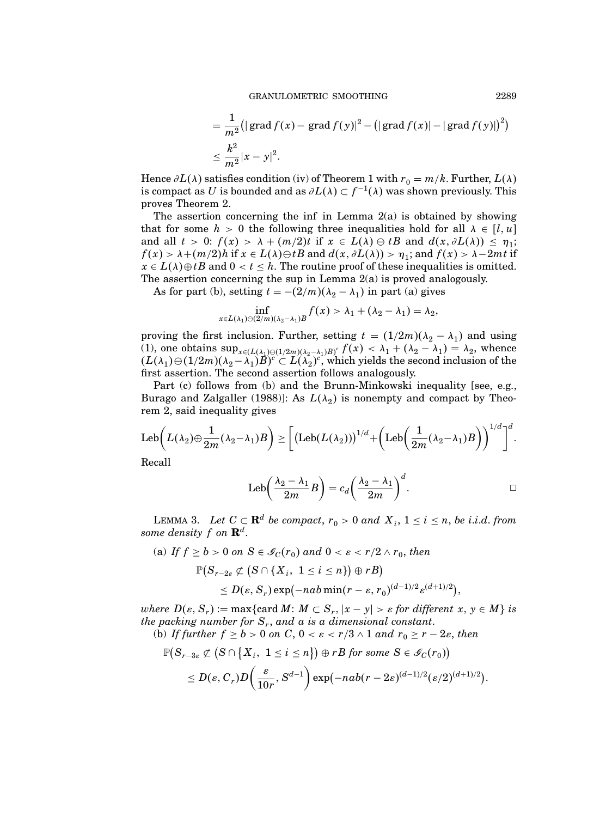$$
= \frac{1}{m^2} (|\operatorname{grad} f(x) - \operatorname{grad} f(y)|^2 - (|\operatorname{grad} f(x)| - |\operatorname{grad} f(y)|)^2)
$$
  

$$
\leq \frac{k^2}{m^2} |x - y|^2.
$$

Hence  $\partial L(\lambda)$  satisfies condition (iv) of Theorem 1 with  $r_0 = m/k$ . Further,  $L(\lambda)$ is compact as U is bounded and as  $\partial L(\lambda) \subset f^{-1}(\lambda)$  was shown previously. This proves Theorem 2.

The assertion concerning the inf in Lemma 2(a) is obtained by showing that for some  $h > 0$  the following three inequalities hold for all  $\lambda \in [l, u]$ and all  $t > 0$ :  $f(x) > \lambda + (m/2)t$  if  $x \in L(\lambda) \ominus tB$  and  $d(x, \partial L(\lambda)) \leq \eta_1$ ;  $f(x) > \lambda + (m/2)h$  if  $x \in L(\lambda) \ominus tB$  and  $d(x, \partial L(\lambda)) > \eta_1$ ; and  $f(x) > \lambda - 2mt$  if  $x \in L(\lambda) \oplus tB$  and  $0 < t \leq h$ . The routine proof of these inequalities is omitted. The assertion concerning the sup in Lemma 2(a) is proved analogously.

As for part (b), setting  $t = -(2/m)(\lambda_2 - \lambda_1)$  in part (a) gives

$$
\inf_{x \in L(\lambda_1) \ominus (2/m)(\lambda_2 - \lambda_1)B} f(x) > \lambda_1 + (\lambda_2 - \lambda_1) = \lambda_2,
$$

proving the first inclusion. Further, setting  $t = (1/2m)(\lambda_2 - \lambda_1)$  and using (1), one obtains  $\sup_{x \in (L(\lambda_1) \oplus (1/2m)(\lambda_2 - \lambda_1)B)^c} f(x) < \lambda_1 + (\lambda_2 - \lambda_1) = \lambda_2$ , whence  $(L(\lambda_1) \ominus (1/2m)(\lambda_2 - \lambda_1)B)^c \subset L(\lambda_2)^c$ , which yields the second inclusion of the first assertion. The second assertion follows analogously.

Part (c) follows from (b) and the Brunn-Minkowski inequality [see, e.g., Burago and Zalgaller (1988)]: As  $L(\lambda_2)$  is nonempty and compact by Theorem 2, said inequality gives

$$
\text{Leb}\bigg(L(\lambda_2)\oplus \frac{1}{2m}(\lambda_2-\lambda_1)B\bigg) \geq \bigg[\big(\text{Leb}(L(\lambda_2))\big)^{1/d}+\bigg(\text{Leb}\bigg(\frac{1}{2m}(\lambda_2-\lambda_1)B\bigg)\bigg)^{1/d}\bigg]^{d}.
$$

Recall

$$
Leb\left(\frac{\lambda_2-\lambda_1}{2m}B\right)=c_d\left(\frac{\lambda_2-\lambda_1}{2m}\right)^d.
$$

LEMMA 3. Let  $C \subset \mathbf{R}^d$  be compact,  $r_0 > 0$  and  $X_i$ ,  $1 \le i \le n$ , be i.i.d. from some density  $f$  on  $\mathbf{R}^{d}.$ 

(a) If  $f \ge b > 0$  on  $S \in \mathscr{G}_{C}(r_0)$  and  $0 < \varepsilon < r/2 \wedge r_0$ , then  $\mathbb{P}\big( S_{r-2\varepsilon} \not\subset \big( S \cap \{ X_i, \; 1 \leq i \leq n \} \big) \oplus r B \big)$  $\leq D(\varepsilon, S_r) \exp(-nab \min(r-\varepsilon, r_0)^{(d-1)/2} \varepsilon^{(d+1)/2}),$ 

where  $D(\varepsilon, S_r) := \max\{\text{card }M\colon M \subset S_r, |x - y| > \varepsilon \text{ for different } x, y \in M\}$  is the packing number for  $S_r$ , and a is a dimensional constant. (b) If further  $f \ge b > 0$  on C,  $0 < \varepsilon < r/3 \wedge 1$  and  $r_0 \ge r - 2\varepsilon$ , then

$$
\mathbb{P}\big(S_{r-3\varepsilon}\not\subset \big(S\cap\big\{X_i,\,\,1\leq i\leq n\big\}\big)\oplus rB\text{ for some }S\in\mathscr{S}_C(r_0)\big)\\\leq D(\varepsilon,C_r)D\bigg(\frac{\varepsilon}{10r},S^{d-1}\bigg)\exp(-nab(r-2\varepsilon)^{(d-1)/2}(\varepsilon/2)^{(d+1)/2}).
$$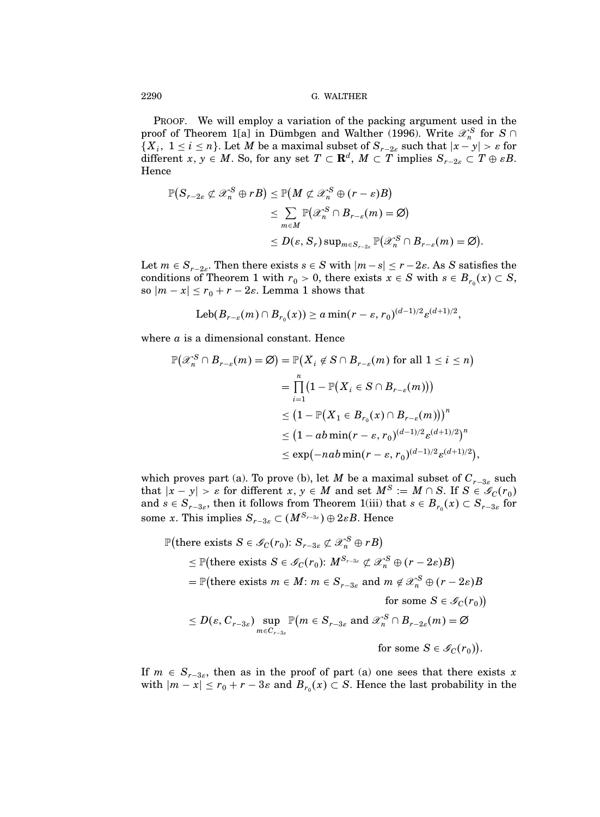PROOF. We will employ a variation of the packing argument used in the proof of Theorem 1[a] in Dümbgen and Walther (1996). Write  $\mathscr{X}_n^S$  for  $S \cap$  $\{X_i, 1 \le i \le n\}$ . Let M be a maximal subset of  $S_{r-2\varepsilon}$  such that  $|x-y| > \varepsilon$  for different  $x, y \in M$ . So, for any set  $T \subset \mathbf{R}^d$ ,  $M \subset T$  implies  $S_{r-2\varepsilon} \subset T \oplus \varepsilon B$ . Hence

$$
\mathbb{P}(S_{r-2\varepsilon} \not\subset \mathscr{X}_n^S \oplus rB) \leq \mathbb{P}(M \not\subset \mathscr{X}_n^S \oplus (r - \varepsilon)B)
$$
  
\n
$$
\leq \sum_{m \in M} \mathbb{P}(\mathscr{X}_n^S \cap B_{r-\varepsilon}(m) = \varnothing)
$$
  
\n
$$
\leq D(\varepsilon, S_r) \sup_{m \in S_{r-2\varepsilon}} \mathbb{P}(\mathscr{X}_n^S \cap B_{r-\varepsilon}(m) = \varnothing).
$$

Let  $m \in S_{r-2\varepsilon}$ . Then there exists  $s \in S$  with  $|m-s| \leq r-2\varepsilon$ . As S satisfies the conditions of Theorem 1 with  $r_0 > 0$ , there exists  $x \in S$  with  $s \in B_{r_0}(x) \subset S$ , so  $|m-x| \le r_0 + r - 2\varepsilon$ . Lemma 1 shows that

$$
Leb(B_{r-\varepsilon}(m) \cap B_{r_0}(x)) \ge a \min(r-\varepsilon, r_0)^{(d-1)/2} \varepsilon^{(d+1)/2},
$$

where  $a$  is a dimensional constant. Hence

$$
\mathbb{P}(\mathscr{X}_n^S \cap B_{r-\varepsilon}(m) = \varnothing) = \mathbb{P}(X_i \notin S \cap B_{r-\varepsilon}(m) \text{ for all } 1 \le i \le n)
$$
  
\n
$$
= \prod_{i=1}^n (1 - \mathbb{P}(X_i \in S \cap B_{r-\varepsilon}(m)))
$$
  
\n
$$
\le (1 - \mathbb{P}(X_1 \in B_{r_0}(x) \cap B_{r-\varepsilon}(m)))^n
$$
  
\n
$$
\le (1 - ab \min(r - \varepsilon, r_0)^{(d-1)/2} \varepsilon^{(d+1)/2})^n
$$
  
\n
$$
\le \exp(-nab \min(r - \varepsilon, r_0)^{(d-1)/2} \varepsilon^{(d+1)/2}),
$$

which proves part (a). To prove (b), let M be a maximal subset of  $C_{r-3\varepsilon}$  such that  $|x - y| > \varepsilon$  for different  $x, y \in M$  and set  $M^S := M \cap S$ . If  $S \in \mathscr{I}_C(r_0)$ and  $s \in S_{r-3\varepsilon}$ , then it follows from Theorem 1(iii) that  $s \in B_{r_0}(x) \subset S_{r-3\varepsilon}$  for some x. This implies  $S_{r-3\varepsilon} \subset (M^{S_{r-3\varepsilon}}) \oplus 2\varepsilon B$ . Hence

$$
\mathbb{P}(\text{there exists } S \in \mathscr{I}_C(r_0): S_{r-3\varepsilon} \not\subset \mathscr{X}_n^S \oplus rB) \\
\leq \mathbb{P}(\text{there exists } S \in \mathscr{I}_C(r_0): M^{S_{r-3\varepsilon}} \not\subset \mathscr{X}_n^S \oplus (r-2\varepsilon)B) \\
= \mathbb{P}(\text{there exists } m \in M: m \in S_{r-3\varepsilon} \text{ and } m \not\in \mathscr{X}_n^S \oplus (r-2\varepsilon)B \quad \text{for some } S \in \mathscr{I}_C(r_0)) \\
\leq D(\varepsilon, C_{r-3\varepsilon}) \sup_{m \in C_{r-3\varepsilon}} \mathbb{P}(m \in S_{r-3\varepsilon} \text{ and } \mathscr{X}_n^S \cap B_{r-2\varepsilon}(m) = \varnothing \quad \text{for some } S \in \mathscr{I}_C(r_0)).
$$

If  $m \in S_{r-3\varepsilon}$ , then as in the proof of part (a) one sees that there exists x with  $|m-x| \le r_0 + r - 3\varepsilon$  and  $B_{r_0}(x) \subset S$ . Hence the last probability in the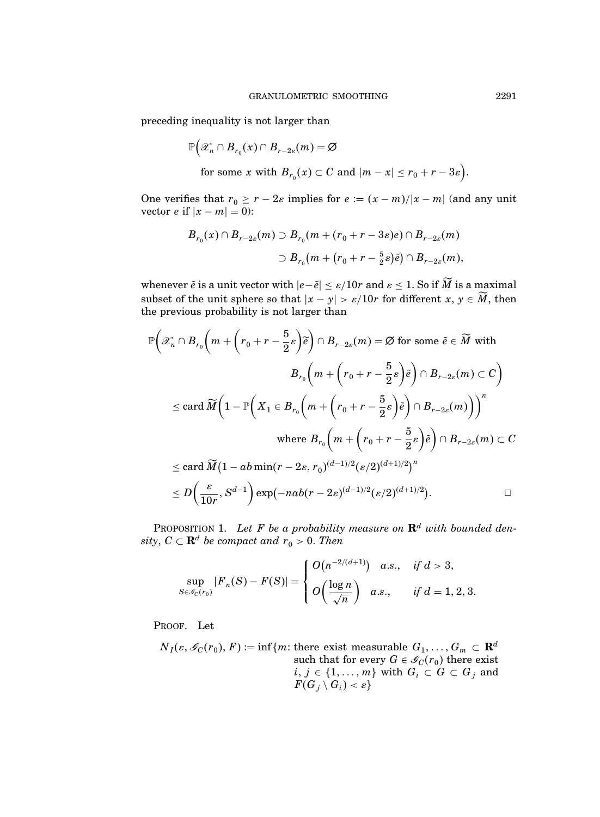preceding inequality is not larger than

$$
\mathbb{P}\Big(\mathscr{X}_n \cap B_{r_0}(x) \cap B_{r-2\varepsilon}(m) = \varnothing
$$
  
for some  $x$  with  $B_{r_0}(x) \subset C$  and  $|m - x| \le r_0 + r - 3\varepsilon\Big)$ .

One verifies that  $r_0 \ge r - 2\varepsilon$  implies for  $e := (x - m)/|x - m|$  (and any unit vector *e* if  $|x - m| = 0$ :

$$
B_{r_0}(x) \cap B_{r-2\varepsilon}(m) \supset B_{r_0}(m + (r_0 + r - 3\varepsilon)e) \cap B_{r-2\varepsilon}(m)
$$
  

$$
\supset B_{r_0}(m + (r_0 + r - \frac{5}{2}\varepsilon)\tilde{e}) \cap B_{r-2\varepsilon}(m),
$$

whenever  $\tilde{e}$  is a unit vector with  $|e-\tilde{e}|\leq \varepsilon/10r$  and  $\varepsilon\leq 1.$  So if  $M$  is a maximal subset of the unit sphere so that  $|x - y| > \varepsilon/10r$  for different  $x, y \in M$ , then the previous probability is not larger than

$$
\mathbb{P}\left(\mathscr{X}_n \cap B_{r_0}\left(m + \left(r_0 + r - \frac{5}{2}\varepsilon\right)\widetilde{e}\right) \cap B_{r-2\varepsilon}(m) = \varnothing \text{ for some } \widetilde{e} \in \widetilde{M} \text{ with } \right.
$$
\n
$$
B_{r_0}\left(m + \left(r_0 + r - \frac{5}{2}\varepsilon\right)\widetilde{e}\right) \cap B_{r-2\varepsilon}(m) \subset C\right)
$$
\n
$$
\leq \text{card }\widetilde{M}\left(1 - \mathbb{P}\left(X_1 \in B_{r_0}\left(m + \left(r_0 + r - \frac{5}{2}\varepsilon\right)\widetilde{e}\right) \cap B_{r-2\varepsilon}(m)\right)\right)^n
$$
\n
$$
\text{where } B_{r_0}\left(m + \left(r_0 + r - \frac{5}{2}\varepsilon\right)\widetilde{e}\right) \cap B_{r-2\varepsilon}(m) \subset C
$$
\n
$$
\leq \text{card }\widetilde{M}\left(1 - ab\min(r - 2\varepsilon, r_0)^{(d-1)/2}(\varepsilon/2)^{(d+1)/2}\right)^n
$$
\n
$$
\leq D\left(\frac{\varepsilon}{10r}, S^{d-1}\right) \exp(-nab(r - 2\varepsilon)^{(d-1)/2}(\varepsilon/2)^{(d+1)/2}).
$$

PROPOSITION 1. Let F be a probability measure on  $\mathbf{R}^{d}$  with bounded density,  $C \subset \mathbf{R}^d$  be compact and  $r_0 > 0$ . Then

$$
\sup_{S \in \mathcal{S}_C(r_0)} |F_n(S) - F(S)| = \begin{cases} O(n^{-2/(d+1)}) & a.s., \quad \text{if } d > 3, \\ O\left(\frac{\log n}{\sqrt{n}}\right) & a.s., \quad \text{if } d = 1, 2, 3. \end{cases}
$$

PROOF. Let

$$
N_I(\varepsilon, \mathscr{I}_C(r_0), F) := \inf \{ m \colon \text{there exist measurable } G_1, \dots, G_m \subset \mathbf{R}^d \text{ such that for every } G \in \mathscr{I}_C(r_0) \text{ there exist } i, j \in \{1, \dots, m\} \text{ with } G_i \subset G \subset G_j \text{ and } F(G_j \setminus G_i) < \varepsilon \}
$$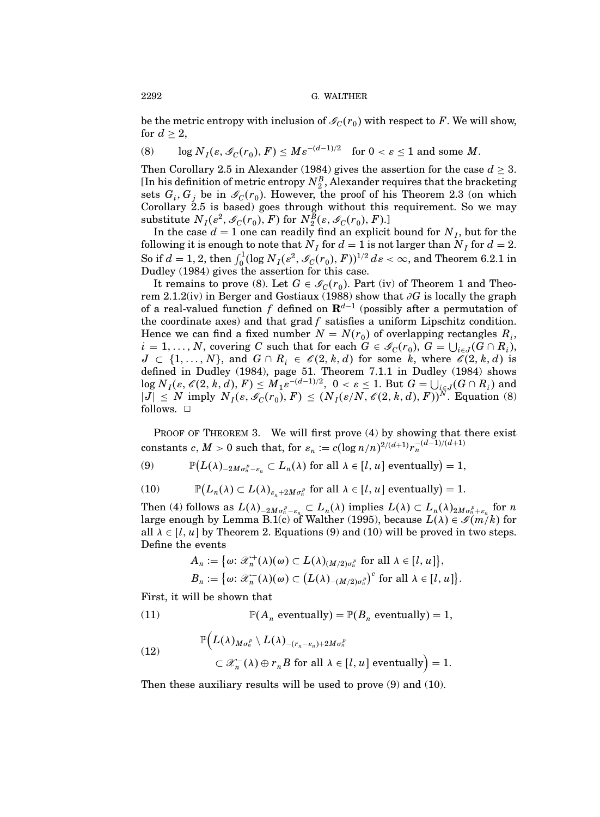be the metric entropy with inclusion of  $\mathcal{I}_C(r_0)$  with respect to F. We will show, for  $d > 2$ ,

(8) 
$$
\log N_I(\varepsilon, \mathcal{L}_C(r_0), F) \leq M \varepsilon^{-(d-1)/2}
$$
 for  $0 < \varepsilon \leq 1$  and some M.

Then Corollary 2.5 in Alexander (1984) gives the assertion for the case  $d \geq 3$ . [In his definition of metric entropy  $N_{2}^B,$  Alexander requires that the bracketing sets  $G_i$ ,  $G_j$  be in  $\mathcal{I}_C(r_0)$ . However, the proof of his Theorem 2.3 (on which Corollary 2.5 is based) goes through without this requirement. So we may substitute  $N_I(\varepsilon^2, \mathcal{G}_C(r_0), F)$  for  $N_2^B(\varepsilon, \mathcal{G}_C(r_0), F)$ .

In the case  $d = 1$  one can readily find an explicit bound for  $N_I$ , but for the following it is enough to note that  $N_I$  for  $d = 1$  is not larger than  $N_I$  for  $d = 2$ . So if  $d = 1, 2$ , then  $\int_0^1 (\log N_I(\varepsilon^2, \mathscr{I}_C(r_0), F))^{1/2} d\varepsilon < \infty$ , and Theorem 6.2.1 in Dudley (1984) gives the assertion for this case.

It remains to prove (8). Let  $G \in \mathcal{G}_C(r_0)$ . Part (iv) of Theorem 1 and Theorem 2.1.2(iv) in Berger and Gostiaux (1988) show that ∂G is locally the graph of a real-valued function f defined on  $\mathbf{R}^{d-1}$  (possibly after a permutation of the coordinate axes) and that  $\text{grad } f$  satisfies a uniform Lipschitz condition. Hence we can find a fixed number  $N = N(r_0)$  of overlapping rectangles  $R_i$ ,  $i = 1, ..., N$ , covering C such that for each  $G \in \mathcal{G}_C(r_0)$ ,  $G = \bigcup_{i \in J} (G \cap R_i)$ ,  $J \subset \{1,\ldots,N\}$ , and  $G \cap R_i \in \mathscr{C}(2,k,d)$  for some k, where  $\mathscr{C}(2,k,d)$  is defined in Dudley (1984), page 51. Theorem 7.1.1 in Dudley (1984) shows  $\log N_I(\varepsilon, \mathscr{C}(2, k, d), F) \leq M_1 \varepsilon^{-(d-1)/2}, 0 < \varepsilon \leq 1$ . But  $G = \bigcup_{i \in J} (G \cap R_i)$  and  $|J| \leq N$  imply  $N_I(\varepsilon, \mathcal{L}_C(r_0), F) \leq (N_I(\varepsilon/N, \mathcal{L}(2, k, d), F))^N$ . Equation (8) follows.  $\square$ 

PROOF OF THEOREM 3. We will first prove  $(4)$  by showing that there exist constants  $c, M > 0$  such that, for  $\varepsilon_n := c(\log n/n)^{2/(d+1)} r_n^{-(d-1)/(d+1)}$ 

(9)  $\mathbb{P}(L(\lambda)_{-2M\sigma_n^p-\varepsilon_n}\subset L_n(\lambda) \text{ for all } \lambda\in [l,u] \text{ eventually} = 1,$ 

(10) 
$$
\mathbb{P}(L_n(\lambda) \subset L(\lambda)_{\varepsilon_n + 2M\sigma_n^p} \text{ for all } \lambda \in [l, u] \text{ eventually} = 1.
$$

Then (4) follows as  $L(\lambda)_{-2M\sigma_n^p - \varepsilon_n} \subset L_n(\lambda)$  implies  $L(\lambda) \subset L_n(\lambda)_{2M\sigma_n^p + \varepsilon_n}$  for n large enough by Lemma B.1(c) of Walther (1995), because  $L(\lambda) \in \mathscr{I}(m/k)$  for all  $\lambda \in [l, u]$  by Theorem 2. Equations (9) and (10) will be proved in two steps. Define the events

$$
A_n := \{\omega: \mathscr{X}_n^+(\lambda)(\omega) \subset L(\lambda)_{(M/2)\sigma_n^p} \text{ for all } \lambda \in [l, u]\},
$$
  

$$
B_n := \{\omega: \mathscr{X}_n^-(\lambda)(\omega) \subset (L(\lambda)_{-(M/2)\sigma_n^p})^c \text{ for all } \lambda \in [l, u]\}.
$$

First, it will be shown that

(11) 
$$
\mathbb{P}(A_n \text{ eventually}) = \mathbb{P}(B_n \text{ eventually}) = 1,
$$

(12) 
$$
\mathbb{P}\Big(L(\lambda)_{M\sigma_n^P} \setminus L(\lambda)_{-(r_n-\varepsilon_n)+2M\sigma_n^P} \Big|_{\lambda \in [l, u] \text{ eventually}}\Big) = 1.
$$

Then these auxiliary results will be used to prove (9) and (10).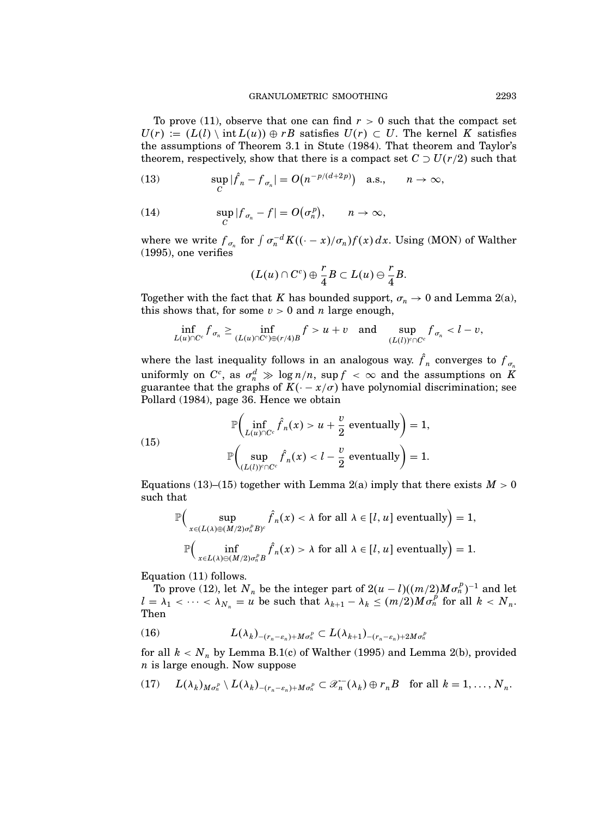To prove (11), observe that one can find  $r > 0$  such that the compact set  $U(r) := (L(l) \setminus int L(u)) \oplus rB$  satisfies  $U(r) \subset U$ . The kernel K satisfies the assumptions of Theorem 3.1 in Stute (1984). That theorem and Taylor's theorem, respectively, show that there is a compact set  $C \supset U(r/2)$  such that

(13) 
$$
\sup_C |\hat{f}_n - f_{\sigma_n}| = O(n^{-p/(d+2p)}) \quad \text{a.s.,} \qquad n \to \infty,
$$

(14) 
$$
\sup_C |f_{\sigma_n} - f| = O(\sigma_n^p), \qquad n \to \infty,
$$

where we write  $f_{\sigma_n}$  for  $\int \sigma_n^{-d} K((\cdot - x)/\sigma_n) f(x) dx$ . Using (MON) of Walther (1995), one verifies

$$
(L(u)\cap C^{c})\oplus \frac{r}{4}B\subset L(u)\ominus \frac{r}{4}B.
$$

Together with the fact that K has bounded support,  $\sigma_n \to 0$  and Lemma 2(a), this shows that, for some  $v > 0$  and n large enough,

$$
\inf_{L(u)\cap C^c} f_{\sigma_n} \geq \inf_{(L(u)\cap C^c)\oplus (r/4)B} f > u+v \quad \text{and} \quad \sup_{(L(l))^c\cap C^c} f_{\sigma_n} < l-v,
$$

where the last inequality follows in an analogous way.  $f_n$  converges to  $f_{\sigma_n}$ uniformly on  $C^c$ , as  $\sigma_n^d \gg \log n/n$ , sup  $f < \infty$  and the assumptions on K guarantee that the graphs of  $K(-x/\sigma)$  have polynomial discrimination; see Pollard (1984), page 36. Hence we obtain

(15) 
$$
\mathbb{P}\left(\inf_{L(u)\cap C^c} \hat{f}_n(x) > u + \frac{v}{2} \text{ eventually}\right) = 1,
$$

$$
\mathbb{P}\left(\sup_{(L(l))^c\cap C^c} \hat{f}_n(x) < l - \frac{v}{2} \text{ eventually}\right) = 1.
$$

Equations (13)–(15) together with Lemma 2(a) imply that there exists  $M > 0$ such that

$$
\mathbb{P}\Big(\sup_{x\in (L(\lambda)\oplus (M/2)\sigma_n^p B)^c} \hat{f}_n(x) < \lambda \text{ for all } \lambda \in [l, u] \text{ eventually}\Big) = 1,
$$
\n
$$
\mathbb{P}\Big(\inf_{x\in L(\lambda)\ominus (M/2)\sigma_n^p B} \hat{f}_n(x) > \lambda \text{ for all } \lambda \in [l, u] \text{ eventually}\Big) = 1.
$$

Equation (11) follows.

To prove (12), let  $N_n$  be the integer part of  $2(u - l)((m/2)M\sigma_n^p)^{-1}$  and let  $l = \lambda_1 < \cdots < \lambda_{N_n} = u$  be such that  $\lambda_{k+1} - \lambda_k \leq (m/2)M\sigma_n^{\beta}$  for all  $k < N_n$ . Then

$$
(16) \tL(\lambda_k)_{-(r_n-\varepsilon_n)+M\sigma_n^p} \subset L(\lambda_{k+1})_{-(r_n-\varepsilon_n)+2M\sigma_n^p}
$$

for all  $k < N_n$  by Lemma B.1(c) of Walther (1995) and Lemma 2(b), provided  $n$  is large enough. Now suppose

$$
(17) \qquad L(\lambda_k)_{M\sigma_n^p} \setminus L(\lambda_k)_{-(r_n-\varepsilon_n)+M\sigma_n^p} \subset \mathscr{X}_n^-(\lambda_k) \oplus r_nB \quad \text{for all } k=1,\ldots,N_n.
$$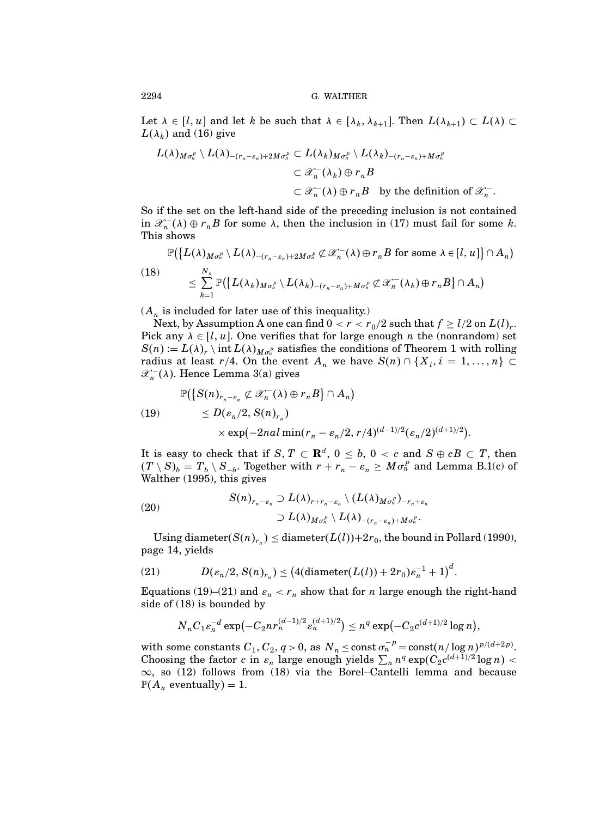Let  $\lambda \in [l, u]$  and let k be such that  $\lambda \in [\lambda_k, \lambda_{k+1}]$ . Then  $L(\lambda_{k+1}) \subset L(\lambda) \subset$  $L(\lambda_k)$  and (16) give

$$
L(\lambda)_{M\sigma_n^p} \setminus L(\lambda)_{-(r_n-\varepsilon_n)+2M\sigma_n^p} \subset L(\lambda_k)_{M\sigma_n^p} \setminus L(\lambda_k)_{-(r_n-\varepsilon_n)+M\sigma_n^p}
$$
  

$$
\subset \mathscr{X}_n^-(\lambda_k) \oplus r_nB
$$
  

$$
\subset \mathscr{X}_n^-(\lambda) \oplus r_nB \text{ by the definition of } \mathscr{X}_n^-.
$$

So if the set on the left-hand side of the preceding inclusion is not contained in  $\mathscr{X}_n^{-}(\lambda) \oplus r_n B$  for some  $\lambda$ , then the inclusion in (17) must fail for some k. This shows

$$
\mathbb{P}(\lbrace L(\lambda)_{M\sigma_n^p} \setminus L(\lambda)_{-(r_n-\varepsilon_n)+2M\sigma_n^p} \not\subset \mathscr{X}_n^-(\lambda) \oplus r_nB \text{ for some } \lambda \in [l, u] \rbrace \cap A_n)
$$
  
\n
$$
\leq \sum_{k=1}^{N_n} \mathbb{P}(\lbrace L(\lambda_k)_{M\sigma_n^p} \setminus L(\lambda_k)_{-(r_n-\varepsilon_n)+M\sigma_n^p} \not\subset \mathscr{X}_n^-(\lambda_k) \oplus r_nB \rbrace \cap A_n)
$$

 $(A_n$  is included for later use of this inequality.)

Next, by Assumption A one can find  $0 < r < r_0/2$  such that  $f \ge l/2$  on  $L(l)_r$ . Pick any  $\lambda \in [l, u]$ . One verifies that for large enough *n* the (nonrandom) set  $S(n) := L(\lambda)_r \setminus \text{int } L(\lambda)_{M_{\sigma_n^p}}$  satisfies the conditions of Theorem 1 with rolling radius at least  $r/4$ . On the event  $A_n$  we have  $S(n) \cap \{X_i, i = 1, ..., n\} \subset$  $\mathscr{X}_n^-(\lambda)$ . Hence Lemma 3(a) gives

$$
\mathbb{P}(\big\{S(n)_{r_n-\varepsilon_n}\not\subset \mathscr{X}_n^-(\lambda)\oplus r_nB\big\}\cap A_n)
$$

(19) 
$$
\leq D(\varepsilon_n/2, S(n)_{r_n}) \times \exp(-2nal \min(r_n - \varepsilon_n/2, r/4)^{(d-1)/2} (\varepsilon_n/2)^{(d+1)/2}).
$$

It is easy to check that if  $S, T \subset \mathbf{R}^d$ ,  $0 \le b, 0 < c$  and  $S \oplus cB \subset T$ , then  $(T \setminus S)_b = T_b \setminus S_{-b}$ . Together with  $r + r_n - \varepsilon_n \geq M \sigma_n^p$  and Lemma B.1(c) of Walther (1995), this gives

(20)  

$$
S(n)_{r_n-\varepsilon_n} \supset L(\lambda)_{r+r_n-\varepsilon_n} \setminus (L(\lambda)_{M\sigma_n^p})_{-r_n+\varepsilon_n}
$$

$$
\supset L(\lambda)_{M\sigma_n^p} \setminus L(\lambda)_{-(r_n-\varepsilon_n)+M\sigma_n^p}.
$$

Using diameter( $S(n)_{r_n}$ )  $\leq$  diameter( $L(l)$ )+2 $r_0$ , the bound in Pollard (1990), page 14, yields

(21) 
$$
D(\varepsilon_n/2, S(n)_{r_n}) \le (4(\text{diameter}(L(l)) + 2r_0)\varepsilon_n^{-1} + 1)^d.
$$

Equations (19)–(21) and  $\varepsilon_n < r_n$  show that for *n* large enough the right-hand side of (18) is bounded by

$$
N_n C_1 \varepsilon_n^{-d} \exp\left(-C_2 n r_n^{(d-1)/2} \varepsilon_n^{(d+1)/2}\right) \le n^q \exp\left(-C_2 c^{(d+1)/2} \log n\right),
$$

with some constants  $C_1, C_2, q > 0$ , as  $N_n \le \text{const } \sigma_n^{-p} = \text{const}(n/\log n)^{p/(d+2p)}$ . Choosing the factor c in  $\varepsilon_n$  large enough yields  $\sum_n n^q \exp(C_2 c^{(d+1)/2} \log n)$  <  $\infty$ , so (12) follows from (18) via the Borel–Cantelli lemma and because  $\mathbb{P}(A_n$  eventually) = 1.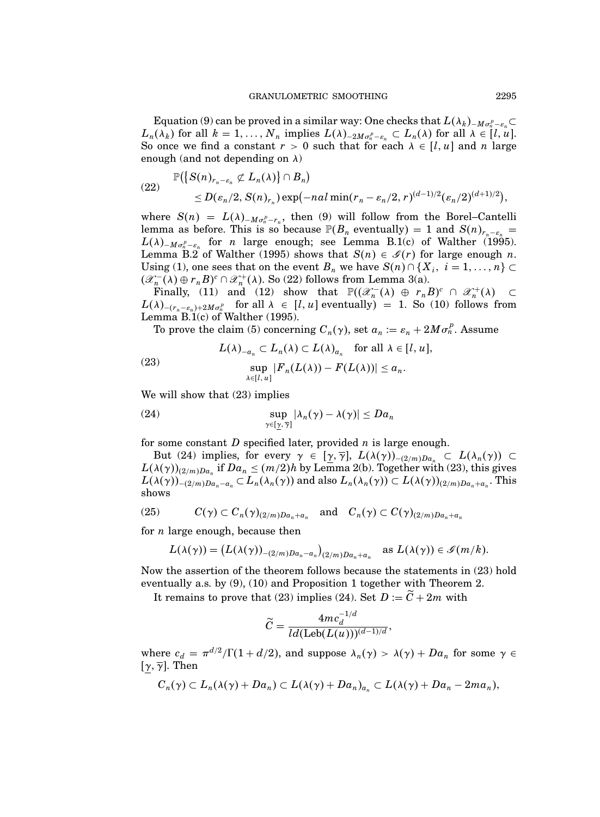Equation (9) can be proved in a similar way: One checks that  $L(\lambda_k)_{-M\sigma_k^p-\varepsilon_n} \subset$  $L_n(\lambda_k)$  for all  $k = 1, ..., N_n$  implies  $L(\lambda)_{-2M\sigma_n^p - \varepsilon_n} \subset L_n(\lambda)$  for all  $\lambda \in [l, u]$ . So once we find a constant  $r > 0$  such that for each  $\lambda \in [l, u]$  and n large enough (and not depending on  $\lambda$ )

(22) 
$$
\mathbb{P}(\lbrace S(n)_{r_n-\epsilon_n} \not\subset L_n(\lambda) \rbrace \cap B_n) \leq D(\epsilon_n/2, S(n)_{r_n}) \exp(-nal \min(r_n-\epsilon_n/2, r)^{(d-1)/2} (\epsilon_n/2)^{(d+1)/2}),
$$

where  $S(n) = L(\lambda)_{-M\sigma_n^p - r_n}$ , then (9) will follow from the Borel–Cantelli lemma as before. This is so because  $\mathbb{P}(B_n)$  eventually  $= 1$  and  $S(n)_{r_{n-\epsilon_n} = \epsilon_n}$  $L(\lambda)$ <sub>-M $\sigma_n^p - \varepsilon_n$ </sub> for *n* large enough; see Lemma B.1(c) of Walther (1995). Lemma B.2 of Walther (1995) shows that  $S(n) \in \mathcal{I}(r)$  for large enough n. Using (1), one sees that on the event  $B_n$  we have  $S(n) \cap \{X_i, i = 1, ..., n\} \subset$  $(\mathscr{X}_n^-(\lambda) \oplus r_n B)^c \cap \mathscr{X}_n^+(\lambda)$ . So (22) follows from Lemma 3(a).

Finally, (11) and (12) show that  $\mathbb{P}((\mathscr{X}_n^{-}(\lambda) \oplus r_n B)^c \cap \mathscr{X}_n^{+}(\lambda) \subset$  $L(\lambda)_{-(r_n-\varepsilon_n)+2M\sigma_n^p}$  for all  $\lambda \in [l, u]$  eventually = 1. So (10) follows from Lemma B.1(c) of Walther (1995).

To prove the claim (5) concerning  $C_n(\gamma)$ , set  $a_n := \varepsilon_n + 2M\sigma_n^p$ . Assume

(23) 
$$
L(\lambda)_{-a_n} \subset L_n(\lambda) \subset L(\lambda)_{a_n} \text{ for all } \lambda \in [l, u],
$$

$$
\sup_{\lambda \in [l, u]} |F_n(L(\lambda)) - F(L(\lambda))| \le a_n.
$$

We will show that  $(23)$  implies

(24) 
$$
\sup_{\gamma \in [\underline{\gamma}, \overline{\gamma}]} |\lambda_n(\gamma) - \lambda(\gamma)| \leq D a_n
$$

for some constant  $D$  specified later, provided  $n$  is large enough.

But (24) implies, for every  $\gamma \in [\underline{\gamma}, \overline{\gamma}]$ ,  $L(\lambda(\gamma))_{-(2/m)Da_n} \subset L(\lambda_n(\gamma)) \subset$  $L(\lambda(\gamma))_{(2/m)Da_n}$  if  $Da_n \leq (m/2)h$  by Lemma 2(b). Together with (23), this gives  $L(\lambda(\gamma))_{-(2/m)Da_n-a_n} \subset L_n(\lambda_n(\gamma))$  and also  $L_n(\lambda_n(\gamma)) \subset L(\lambda(\gamma))_{(2/m)Da_n+a_n}$ . This shows

(25) 
$$
C(\gamma) \subset C_n(\gamma)_{(2/m)Da_n + a_n} \text{ and } C_n(\gamma) \subset C(\gamma)_{(2/m)Da_n + a_n}
$$

for  $n$  large enough, because then

$$
L(\lambda(\gamma)) = (L(\lambda(\gamma))_{-(2/m)Da_n - a_n})_{(2/m)Da_n + a_n} \text{ as } L(\lambda(\gamma)) \in \mathscr{S}(m/k).
$$

Now the assertion of the theorem follows because the statements in (23) hold eventually a.s. by (9), (10) and Proposition 1 together with Theorem 2.

It remains to prove that (23) implies (24). Set  $D := \widetilde{C} + 2m$  with

$$
\widetilde{C} = \frac{4mc_d^{-1/d}}{ld(\text{Leb}(L(u)))^{(d-1)/d}},
$$

where  $c_d = \pi^{d/2}/\Gamma(1 + d/2)$ , and suppose  $\lambda_n(\gamma) > \lambda(\gamma) + Da_n$  for some  $\gamma \in$ [ $\gamma$ ,  $\overline{\gamma}$ ]. Then

$$
C_n(\gamma) \subset L_n(\lambda(\gamma) + Da_n) \subset L(\lambda(\gamma) + Da_n)_{a_n} \subset L(\lambda(\gamma) + Da_n - 2ma_n),
$$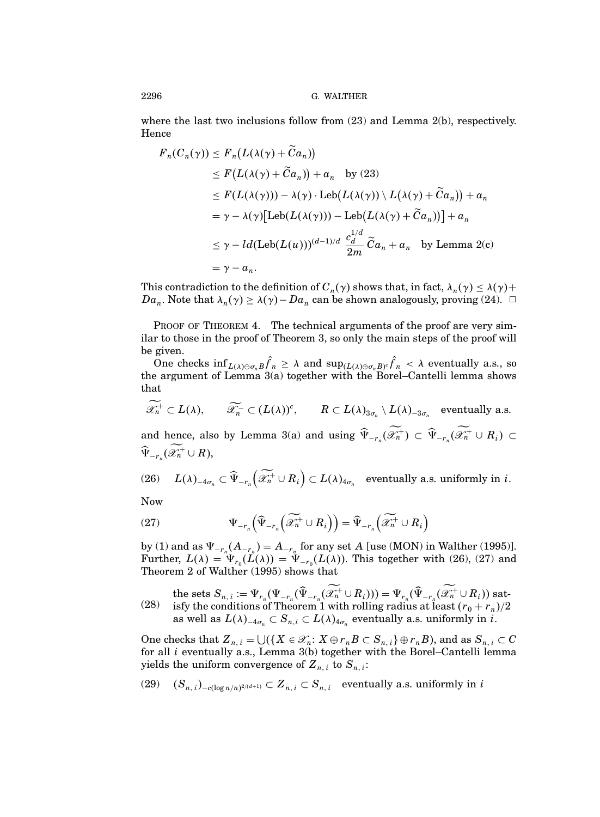where the last two inclusions follow from  $(23)$  and Lemma  $2(b)$ , respectively. Hence

$$
F_n(C_n(\gamma)) \le F_n(L(\lambda(\gamma) + \tilde{C}a_n))
$$
  
\n
$$
\le F(L(\lambda(\gamma) + \tilde{C}a_n)) + a_n \text{ by (23)}
$$
  
\n
$$
\le F(L(\lambda(\gamma))) - \lambda(\gamma) \cdot \text{Leb}(L(\lambda(\gamma)) \setminus L(\lambda(\gamma) + \tilde{C}a_n)) + a_n
$$
  
\n
$$
= \gamma - \lambda(\gamma) [\text{Leb}(L(\lambda(\gamma))) - \text{Leb}(L(\lambda(\gamma) + \tilde{C}a_n))] + a_n
$$
  
\n
$$
\le \gamma - ld(\text{Leb}(L(u)))^{(d-1)/d} \frac{c_d^{1/d}}{2m} \tilde{C}a_n + a_n \text{ by Lemma 2(c)}
$$
  
\n
$$
= \gamma - a_n.
$$

This contradiction to the definition of  $C_n(\gamma)$  shows that, in fact,  $\lambda_n(\gamma) \leq \lambda(\gamma) +$  $Da_n$ . Note that  $\lambda_n(\gamma) \geq \lambda(\gamma) - Da_n$  can be shown analogously, proving (24).  $\Box$ 

PROOF OF THEOREM 4. The technical arguments of the proof are very similar to those in the proof of Theorem 3, so only the main steps of the proof will be given.

One checks  $\inf_{L(\lambda)\ominus\sigma_n} f_n \geq \lambda$  and  $\sup_{(L(\lambda)\oplus\sigma_n)} f_n < \lambda$  eventually a.s., so the argument of Lemma 3(a) together with the Borel–Cantelli lemma shows that

 $\mathscr{X}_n^+ \subset L(\lambda), \qquad \widetilde{\mathscr{X}}_n^- \subset (L(\lambda))^c, \qquad R \subset L(\lambda)_{3\sigma_n} \setminus L(\lambda)_{-3\sigma_n} \quad \text{eventually a.s.}$ 

and hence, also by Lemma 3(a) and using  $\Psi_{-r_n}(\mathscr{X}_n^+) \subset \Psi_{-r_n}(\mathscr{X}_n^+ \cup R_i) \subset$  $\Psi_{-r_n}(\mathscr{X}_n^+\cup R),$ 

(26) 
$$
L(\lambda)_{-4\sigma_n} \subset \widehat{\Psi}_{-r_n}(\widetilde{\mathscr{X}}_n^+ \cup R_i) \subset L(\lambda)_{4\sigma_n}
$$
 eventually a.s. uniformly in *i*.

Now

(27) 
$$
\Psi_{-r_n} \left( \widehat{\Psi}_{-r_n} \left( \widetilde{\mathscr{L}_n^+} \cup R_i \right) \right) = \widehat{\Psi}_{-r_n} \left( \widetilde{\mathscr{L}_n^+} \cup R_i \right)
$$

by (1) and as  $\Psi_{-r_n}(A_{-r_n}) = A_{-r_n}$  for any set A [use (MON) in Walther (1995)]. Further,  $L(\lambda) = \Psi_{r_0}(L(\lambda)) = \Psi_{-r_0}(L(\lambda))$ . This together with (26), (27) and Theorem 2 of Walther (1995) shows that

the sets  $S_{n,i} := \Psi_{r_n}(\Psi_{-r_n}(\Psi_{-r_n}(\mathscr{X}_n^+\cup R_i))) = \Psi_{r_n}(\Psi_{-r_n}(\mathscr{X}_n^+\cup R_i))$  satisfy the conditions of Theorem 1 with rolling radius at least  $(r_0 + r_n)/2$ as well as  $L(\lambda)_{-4\sigma_n} \subset S_{n,i} \subset L(\lambda)_{4\sigma_n}$  eventually a.s. uniformly in *i*. (28)

One checks that  $Z_{n,i} = \bigcup \{ X \in \mathcal{X}_n : X \oplus r_n B \subset S_{n,i} \} \oplus r_n B$ , and as  $S_{n,i} \subset C$ for all i eventually a.s., Lemma 3(b) together with the Borel–Cantelli lemma yields the uniform convergence of  $\pmb{Z}_{n,\,i}$  to  $\pmb{S}_{n,\,i}$ :

(29) 
$$
(S_{n,i})_{-c(\log n/n)^{2/(d+1)}} \subset Z_{n,i} \subset S_{n,i}
$$
 eventually a.s. uniformly in *i*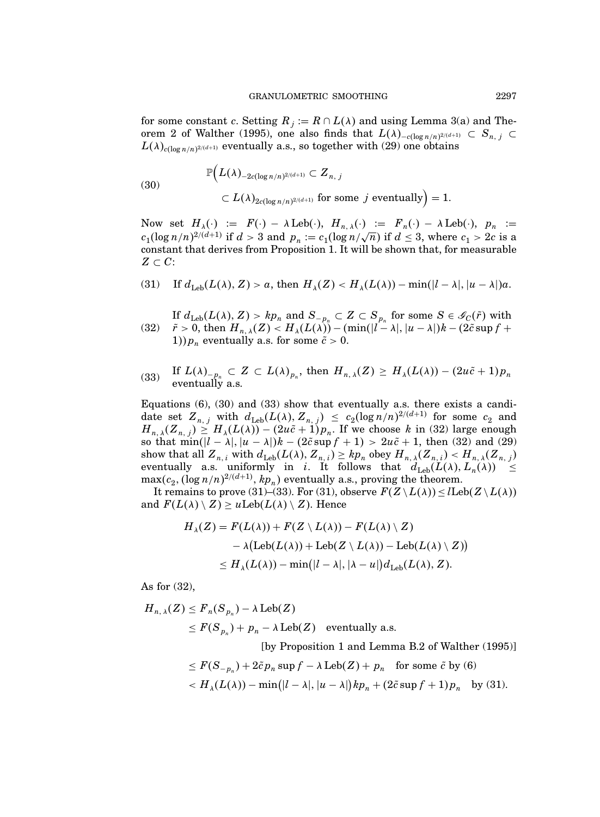for some constant c. Setting  $R_j := R \cap L(\lambda)$  and using Lemma 3(a) and Theorem 2 of Walther (1995), one also finds that  $L(\lambda)_{-c(\log n/n)^{2/(d+1)}} \subset S_{n, j} \subset$  $L(\lambda)_{c(\log n/n)^{2/(d+1)}}$  eventually a.s., so together with (29) one obtains

(30) 
$$
\mathbb{P}\Big(L(\lambda)_{-2c(\log n/n)^{2/(d+1)}} \subset Z_{n, j}
$$

$$
\subset L(\lambda)_{2c(\log n/n)^{2/(d+1)}} \text{ for some } j \text{ eventually}\Big) = 1.
$$

Now set  $H_{\lambda}(\cdot) := F(\cdot) - \lambda \operatorname{Leb}(\cdot), H_{n,\lambda}(\cdot) := F_n(\cdot) - \lambda \operatorname{Leb}(\cdot), p_n :=$  $c_1(\log n/n)^{2/(d+1)}$  if  $d > 3$  and  $p_n := c_1(\log n/\sqrt{n})$  if  $d \leq 3$ , where  $c_1 > 2c$  is a constant that derives from Proposition 1. It will be shown that, for measurable  $Z \subset C$ :

(31) If 
$$
d_{\text{Leb}}(L(\lambda), Z) > a
$$
, then  $H_{\lambda}(Z) < H_{\lambda}(L(\lambda)) - \min(|l - \lambda|, |u - \lambda|)a$ .

If  $d_{\text{Leb}}(L(\lambda), Z) > kp_n$  and  $S_{-p_n} \subset Z \subset S_{p_n}$  for some  $S \in \mathscr{S}_{\mathcal{C}}(\tilde{r})$  with  $\tilde{r}>0, \text{ then } H_{n,\,\lambda}(Z) < H_{\lambda}(L(\lambda))-(\min(|l-\lambda|,|u-\lambda|)k-(2\tilde{c}\sup f+\tilde{c}))$ 1)) $p_n$  eventually a.s. for some  $\tilde{c} > 0$ . (32)

(33) If 
$$
L(\lambda)_{-p_n} \subset Z \subset L(\lambda)_{p_n}
$$
, then  $H_{n,\lambda}(Z) \geq H_{\lambda}(L(\lambda)) - (2u\tilde{c} + 1)p_n$   
eventually a.s.

Equations  $(6)$ ,  $(30)$  and  $(33)$  show that eventually a.s. there exists a candidate set  $Z_{n,j}$  with  $d_{\text{Leb}}(L(\lambda), Z_{n,j}) \leq c_2 (\log n/n)^{2/(d+1)}$  for some  $c_2$  and  $H_{n,\lambda}(Z_{n,j}) \geq H_{\lambda}(L(\lambda)) - (2u\tilde{c} + 1)p_n$ . If we choose k in (32) large enough so that  $\min(|l - \lambda|, |u - \lambda|)k - (2\tilde{c} \sup f + 1) > 2u\tilde{c} + 1$ , then (32) and (29) show that all  $Z_{n,i}$  with  $d_{\text{Leb}}(L(\lambda), Z_{n,i}) \geq k p_n$  obey  $H_{n,\lambda}(Z_{n,i}) < H_{n,\lambda}(Z_{n,j})$ eventually a.s. uniformly in *i*. It follows that  $d_{\text{Leb}}(L(\lambda), L_n(\lambda)) \leq$  $\max(c_2, (\log n/n)^{2/(d+1)}, kp_n)$  eventually a.s., proving the theorem.

It remains to prove (31)–(33). For (31), observe  $F(Z\setminus L(\lambda)) \leq l\text{Leb}(Z\setminus L(\lambda))$ and  $F(L(\lambda) \setminus Z) \geq u \text{Leb}(L(\lambda) \setminus Z)$ . Hence

$$
H_{\lambda}(Z) = F(L(\lambda)) + F(Z \setminus L(\lambda)) - F(L(\lambda) \setminus Z)
$$
  
- \lambda (Leb(L(\lambda)) + Leb(Z \setminus L(\lambda)) - Leb(L(\lambda) \setminus Z))  

$$
\leq H_{\lambda}(L(\lambda)) - \min(|l - \lambda|, |\lambda - u|)d_{Leb}(L(\lambda), Z).
$$

As for (32),

$$
H_{n,\,\lambda}(Z) \le F_n(S_{p_n}) - \lambda \operatorname{Leb}(Z)
$$
  
\n
$$
\le F(S_{p_n}) + p_n - \lambda \operatorname{Leb}(Z) \quad \text{eventually a.s.}
$$

[by Proposition 1 and Lemma B.2 of Walther (1995)]

$$
\leq F(S_{-p_n}) + 2\tilde{c}p_n \sup f - \lambda \operatorname{Leb}(Z) + p_n \quad \text{for some } \tilde{c} \text{ by (6)}
$$
  

$$
< H_{\lambda}(L(\lambda)) - \min(|l - \lambda|, |u - \lambda|)kp_n + (2\tilde{c} \sup f + 1)p_n \quad \text{by (31)}.
$$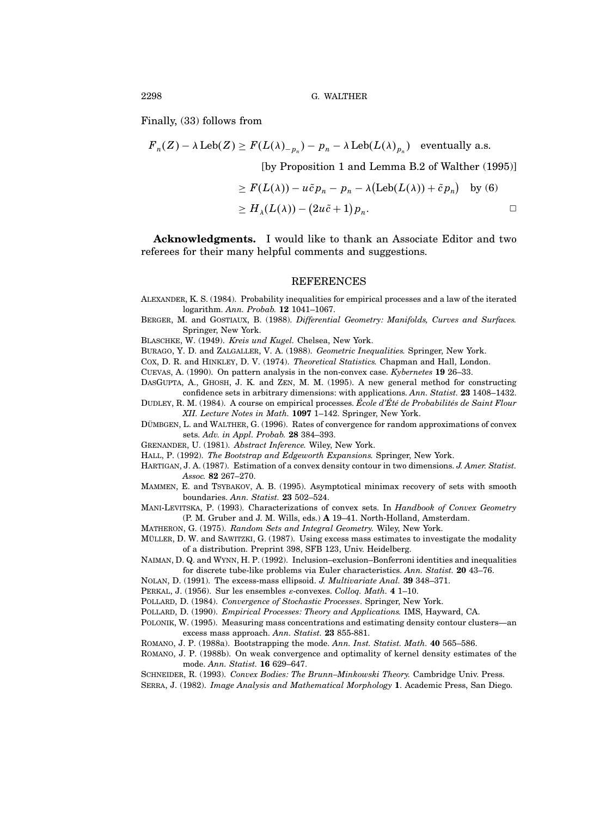Finally, (33) follows from

$$
F_n(Z) - \lambda \operatorname{Leb}(Z) \ge F(L(\lambda)_{-p_n}) - p_n - \lambda \operatorname{Leb}(L(\lambda)_{p_n}) \quad \text{eventually a.s.}
$$

[by Proposition 1 and Lemma B.2 of Walther (1995)]

$$
\geq F(L(\lambda)) - u\tilde{c}p_n - p_n - \lambda(\text{Leb}(L(\lambda)) + \tilde{c}p_n) \text{ by (6)}
$$
  

$$
\geq H_{\lambda}(L(\lambda)) - (2u\tilde{c} + 1)p_n.
$$

Acknowledgments. I would like to thank an Associate Editor and two referees for their many helpful comments and suggestions.

## REFERENCES

- Alexander, K. S. (1984). Probability inequalities for empirical processes and a law of the iterated logarithm. Ann. Probab. 12 1041–1067.
- BERGER, M. and GOSTIAUX, B. (1988). Differential Geometry: Manifolds, Curves and Surfaces. Springer, New York.

Blaschke, W. (1949). Kreis und Kugel. Chelsea, New York.

Burago, Y. D. and Zalgaller, V. A. (1988). Geometric Inequalities. Springer, New York.

Cox, D. R. and Hinkley, D. V. (1974). Theoretical Statistics. Chapman and Hall, London.

Cuevas, A. (1990). On pattern analysis in the non-convex case. Kybernetes 19 26–33.

- DasGupta, A., Ghosh, J. K. and Zen, M. M. (1995). A new general method for constructing confidence sets in arbitrary dimensions: with applications. Ann. Statist. 23 1408–1432.
- DUDLEY, R. M. (1984). A course on empirical processes. École d'Été de Probabilités de Saint Flour XII. Lecture Notes in Math. 1097 1–142. Springer, New York.
- DÜMBGEN, L. and WALTHER, G. (1996). Rates of convergence for random approximations of convex sets. Adv. in Appl. Probab. 28 384–393.
- Grenander, U. (1981). Abstract Inference. Wiley, New York.
- HALL, P. (1992). The Bootstrap and Edgeworth Expansions. Springer, New York.
- Hartigan, J. A. (1987). Estimation of a convex density contour in two dimensions. J. Amer. Statist. Assoc. 82 267–270.
- Mammen, E. and Tsybakov, A. B. (1995). Asymptotical minimax recovery of sets with smooth boundaries. Ann. Statist. 23 502–524.
- MANI-LEVITSKA, P. (1993). Characterizations of convex sets. In Handbook of Convex Geometry (P. M. Gruber and J. M. Wills, eds.) A 19–41. North-Holland, Amsterdam.
- Matheron, G. (1975). Random Sets and Integral Geometry. Wiley, New York.
- MÜLLER, D. W. and SAWITZKI, G. (1987). Using excess mass estimates to investigate the modality of a distribution. Preprint 398, SFB 123, Univ. Heidelberg.
- Naiman, D. Q. and Wynn, H. P. (1992). Inclusion–exclusion–Bonferroni identities and inequalities for discrete tube-like problems via Euler characteristics. Ann. Statist. 20 43–76.
- Nolan, D. (1991). The excess-mass ellipsoid. J. Multivariate Anal. 39 348–371.
- Perkal, J. (1956). Sur les ensembles ε-convexes. Colloq. Math. 4 1–10.
- POLLARD, D. (1984). Convergence of Stochastic Processes. Springer, New York.
- Pollard, D. (1990). Empirical Processes: Theory and Applications. IMS, Hayward, CA.
- Polonik, W. (1995). Measuring mass concentrations and estimating density contour clusters—an excess mass approach. Ann. Statist. 23 855-881.
- Romano, J. P. (1988a). Bootstrapping the mode. Ann. Inst. Statist. Math. 40 565–586.
- Romano, J. P. (1988b). On weak convergence and optimality of kernel density estimates of the mode. Ann. Statist. 16 629–647.
- SCHNEIDER, R. (1993). Convex Bodies: The Brunn-Minkowski Theory. Cambridge Univ. Press.